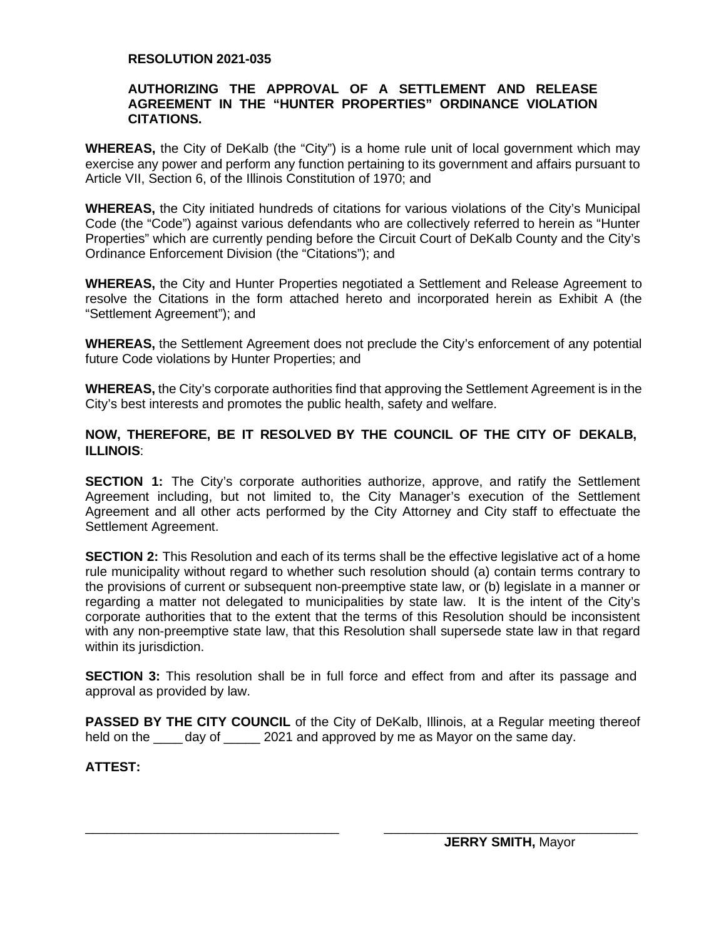## **RESOLUTION 2021-035**

## **AUTHORIZING THE APPROVAL OF A SETTLEMENT AND RELEASE AGREEMENT IN THE "HUNTER PROPERTIES" ORDINANCE VIOLATION CITATIONS.**

**WHEREAS,** the City of DeKalb (the "City") is a home rule unit of local government which may exercise any power and perform any function pertaining to its government and affairs pursuant to Article VII, Section 6, of the Illinois Constitution of 1970; and

**WHEREAS,** the City initiated hundreds of citations for various violations of the City's Municipal Code (the "Code") against various defendants who are collectively referred to herein as "Hunter Properties" which are currently pending before the Circuit Court of DeKalb County and the City's Ordinance Enforcement Division (the "Citations"); and

**WHEREAS,** the City and Hunter Properties negotiated a Settlement and Release Agreement to resolve the Citations in the form attached hereto and incorporated herein as Exhibit A (the "Settlement Agreement"); and

**WHEREAS,** the Settlement Agreement does not preclude the City's enforcement of any potential future Code violations by Hunter Properties; and

**WHEREAS,** the City's corporate authorities find that approving the Settlement Agreement is in the City's best interests and promotes the public health, safety and welfare.

# **NOW, THEREFORE, BE IT RESOLVED BY THE COUNCIL OF THE CITY OF DEKALB, ILLINOIS**:

**SECTION 1:** The City's corporate authorities authorize, approve, and ratify the Settlement Agreement including, but not limited to, the City Manager's execution of the Settlement Agreement and all other acts performed by the City Attorney and City staff to effectuate the Settlement Agreement.

**SECTION 2:** This Resolution and each of its terms shall be the effective legislative act of a home rule municipality without regard to whether such resolution should (a) contain terms contrary to the provisions of current or subsequent non-preemptive state law, or (b) legislate in a manner or regarding a matter not delegated to municipalities by state law. It is the intent of the City's corporate authorities that to the extent that the terms of this Resolution should be inconsistent with any non-preemptive state law, that this Resolution shall supersede state law in that regard within its jurisdiction.

**SECTION 3:** This resolution shall be in full force and effect from and after its passage and approval as provided by law.

**PASSED BY THE CITY COUNCIL** of the City of DeKalb, Illinois, at a Regular meeting thereof held on the day of 2021 and approved by me as Mayor on the same day.

\_\_\_\_\_\_\_\_\_\_\_\_\_\_\_\_\_\_\_\_\_\_\_\_\_\_\_\_\_\_\_\_\_\_\_ \_\_\_\_\_\_\_\_\_\_\_\_\_\_\_\_\_\_\_\_\_\_\_\_\_\_\_\_\_\_\_\_\_\_\_

**ATTEST:**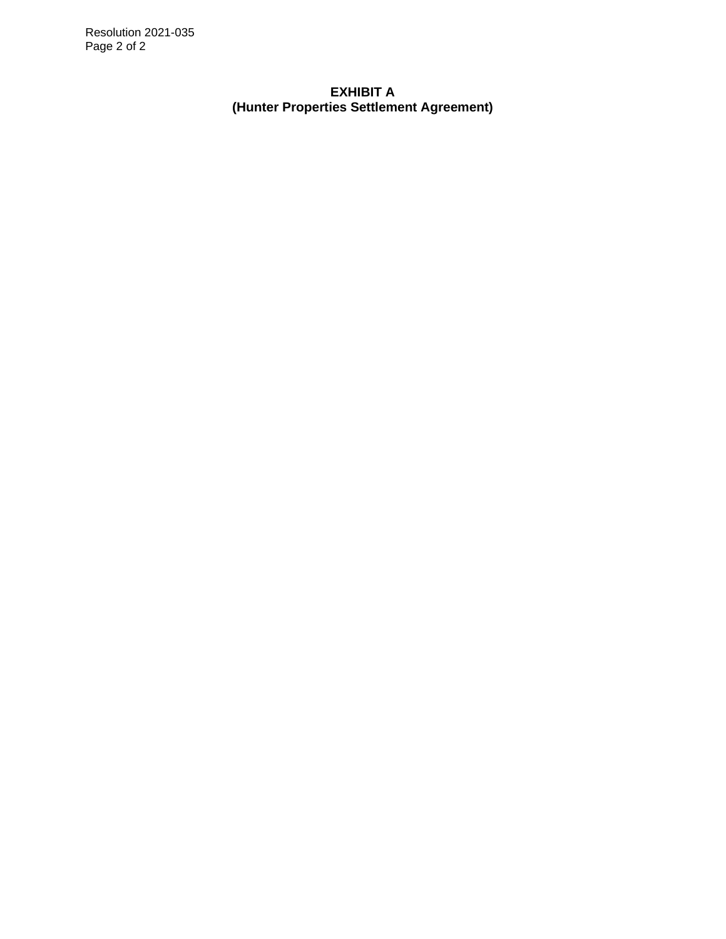Resolution 2021-035 Page 2 of 2

> **EXHIBIT A (Hunter Properties Settlement Agreement)**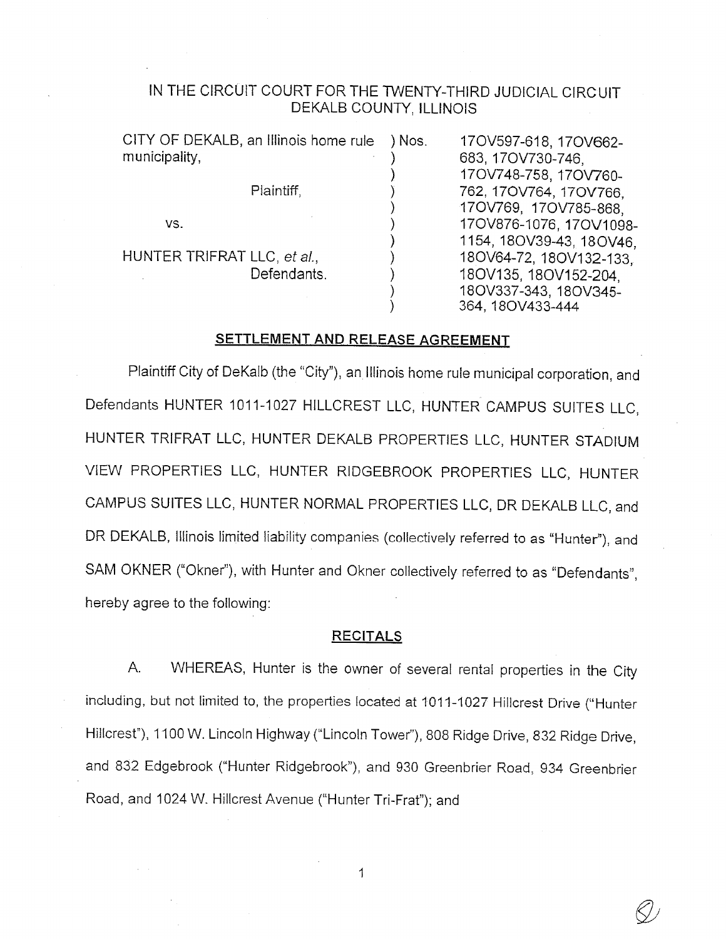# IN THE CIRCUIT COURT FOR THE TWENTY-THIRD JUDICIAL CIRCUIT DEKALB COUNTY, ILLINOIS

|                             | CITY OF DEKALB, an Illinois home rule | ) Nos. | 170V597-618, 170V662-    |
|-----------------------------|---------------------------------------|--------|--------------------------|
| municipality,               |                                       |        | 683, 17OV730-746,        |
|                             |                                       |        | 17OV748-758, 17OV760-    |
|                             | Plaintiff.                            |        | 762, 170V764, 170V766.   |
|                             |                                       |        | 170V769, 170V785-868,    |
| VS.                         |                                       |        | 170V876-1076, 170V1098-  |
|                             |                                       |        | 1154, 18OV39-43, 18OV46, |
| HUNTER TRIFRAT LLC, et al., |                                       |        | 180V64-72, 180V132-133,  |
|                             | Defendants.                           |        | 180V135, 180V152-204.    |
|                             |                                       |        | 18OV337-343, 18OV345-    |
|                             |                                       |        | 364, 18OV433-444         |

## SETTLEMENT AND RELEASE AGREEMENT

Plaintiff City of DeKalb (the "City"), an Illinois home rule municipal corporation, and Defendants HUNTER 1011-1027 HILLCREST LLC, HUNTER CAMPUS SUITES LLC. HUNTER TRIFRAT LLC, HUNTER DEKALB PROPERTIES LLC, HUNTER STADIUM VIEW PROPERTIES LLC, HUNTER RIDGEBROOK PROPERTIES LLC, HUNTER CAMPUS SUITES LLC, HUNTER NORMAL PROPERTIES LLC, DR DEKALB LLC, and DR DEKALB, Illinois limited liability companies (collectively referred to as "Hunter"), and SAM OKNER ("Okner"), with Hunter and Okner collectively referred to as "Defendants", hereby agree to the following:

#### **RECITALS**

WHEREAS, Hunter is the owner of several rental properties in the City  $A_{n}$ including, but not limited to, the properties located at 1011-1027 Hillcrest Drive ("Hunter Hillcrest"), 1100 W. Lincoln Highway ("Lincoln Tower"), 808 Ridge Drive, 832 Ridge Drive, and 832 Edgebrook ("Hunter Ridgebrook"), and 930 Greenbrier Road, 934 Greenbrier Road, and 1024 W. Hillcrest Avenue ("Hunter Tri-Frat"); and

 $\mathbf{1}$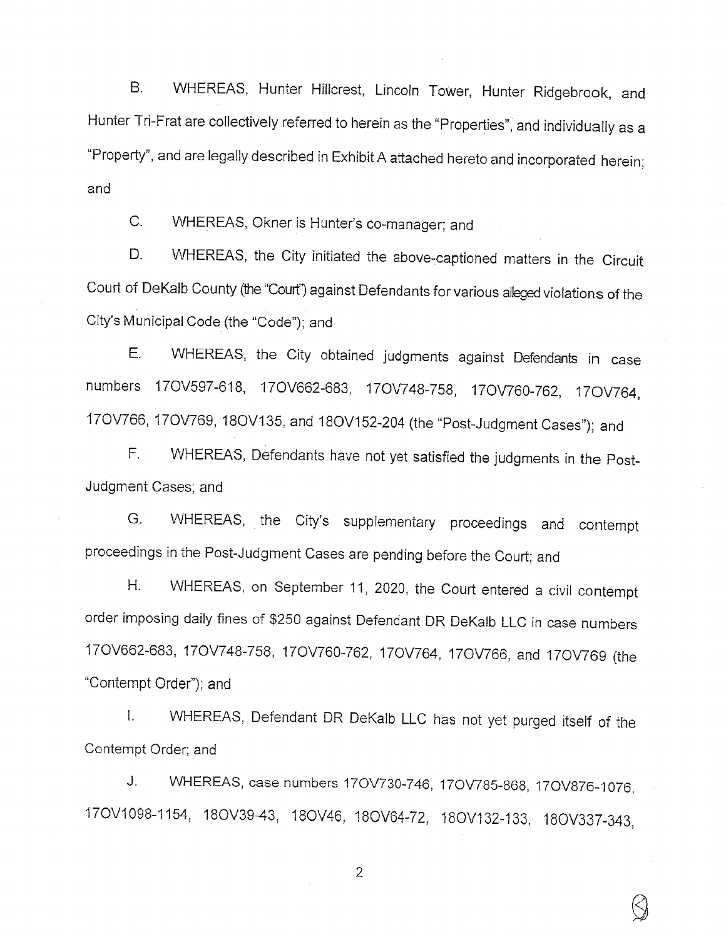WHEREAS, Hunter Hillcrest, Lincoln Tower, Hunter Ridgebrook, and  $B<sub>1</sub>$ Hunter Tri-Frat are collectively referred to herein as the "Properties", and individually as a "Property", and are legally described in Exhibit A attached hereto and incorporated herein; and

WHEREAS, Okner is Hunter's co-manager; and  $C_{\cdot}$ 

WHEREAS, the City initiated the above-captioned matters in the Circuit D. Court of DeKalb County (the "Court") against Defendants for various alleged violations of the City's Municipal Code (the "Code"); and

WHEREAS, the City obtained judgments against Defendants in case Е. numbers 17OV597-618, 17OV662-683, 17OV748-758, 17OV760-762, 17OV764, 17OV766, 17OV769, 18OV135, and 18OV152-204 (the "Post-Judgment Cases"); and

WHEREAS, Defendants have not yet satisfied the judgments in the Post- $F_{\perp}$ Judgment Cases; and

WHEREAS, the City's supplementary proceedings and contempt G. proceedings in the Post-Judgment Cases are pending before the Court; and

WHEREAS, on September 11, 2020, the Court entered a civil contempt  $H_{\cdot}$ order imposing daily fines of \$250 against Defendant DR DeKalb LLC in case numbers 170V662-683, 170V748-758, 170V760-762, 170V764, 170V766, and 170V769 (the "Contempt Order"); and

WHEREAS, Defendant DR DeKalb LLC has not yet purged itself of the  $\mathbf{L}$ Contempt Order; and

WHEREAS, case numbers 170V730-746, 170V785-868, 170V876-1076, J. 170V1098-1154, 180V39-43, 180V46, 180V64-72, 180V132-133, 180V337-343,

 $\overline{2}$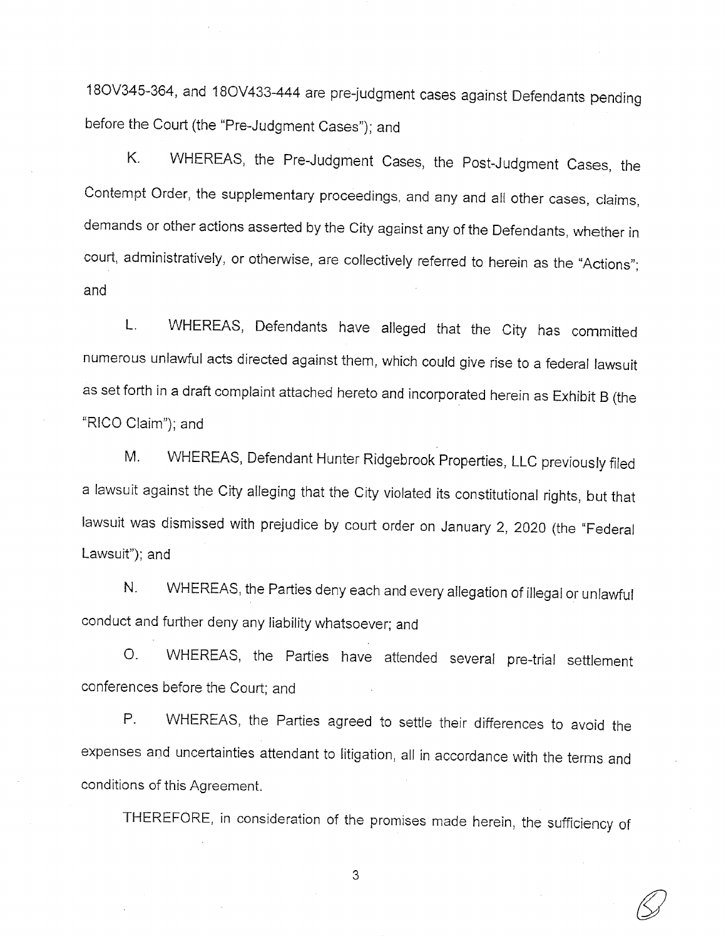18OV345-364, and 18OV433-444 are pre-judgment cases against Defendants pending before the Court (the "Pre-Judgment Cases"); and

WHEREAS, the Pre-Judgment Cases, the Post-Judgment Cases, the K. Contempt Order, the supplementary proceedings, and any and all other cases, claims, demands or other actions asserted by the City against any of the Defendants, whether in court, administratively, or otherwise, are collectively referred to herein as the "Actions"; and

WHEREAS, Defendants have alleged that the City has committed L. numerous unlawful acts directed against them, which could give rise to a federal lawsuit as set forth in a draft complaint attached hereto and incorporated herein as Exhibit B (the "RICO Claim"); and

WHEREAS, Defendant Hunter Ridgebrook Properties, LLC previously filed Μ. a lawsuit against the City alleging that the City violated its constitutional rights, but that lawsuit was dismissed with prejudice by court order on January 2, 2020 (the "Federal Lawsuit"); and

WHEREAS, the Parties deny each and every allegation of illegal or unlawful N. conduct and further deny any liability whatsoever; and

WHEREAS, the Parties have attended several pre-trial settlement  $O<sub>1</sub>$ conferences before the Court; and

WHEREAS, the Parties agreed to settle their differences to avoid the Ρ. expenses and uncertainties attendant to litigation, all in accordance with the terms and conditions of this Agreement.

THEREFORE, in consideration of the promises made herein, the sufficiency of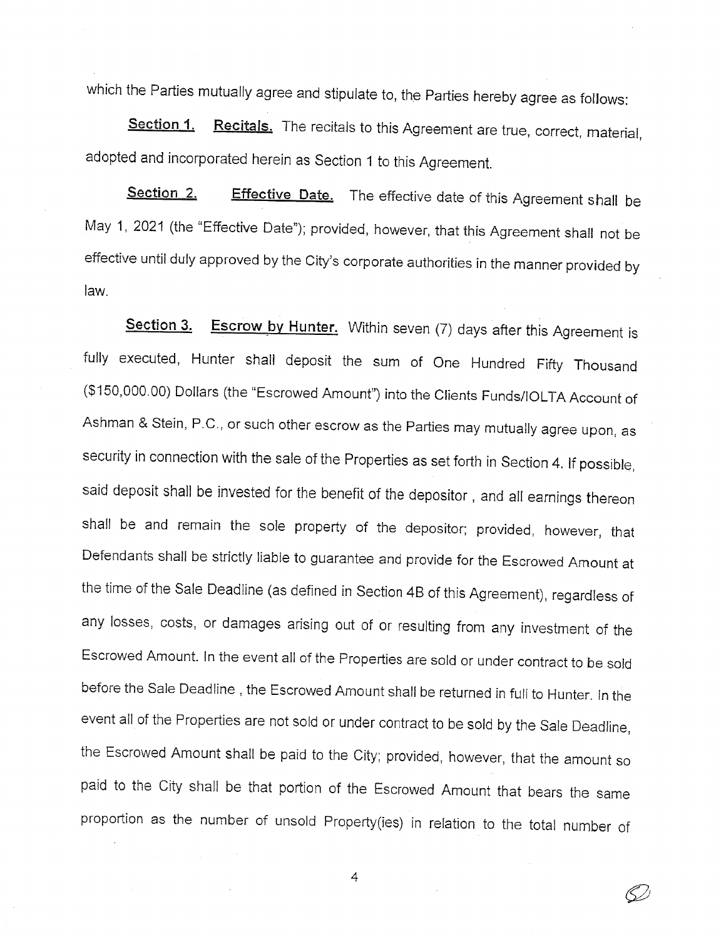which the Parties mutually agree and stipulate to, the Parties hereby agree as follows:

Recitals. The recitals to this Agreement are true, correct, material, Section 1. adopted and incorporated herein as Section 1 to this Agreement.

Section 2. **Effective Date.** The effective date of this Agreement shall be May 1, 2021 (the "Effective Date"); provided, however, that this Agreement shall not be effective until duly approved by the City's corporate authorities in the manner provided by law.

**Escrow by Hunter.** Within seven (7) days after this Agreement is Section 3. fully executed, Hunter shall deposit the sum of One Hundred Fifty Thousand (\$150,000.00) Dollars (the "Escrowed Amount") into the Clients Funds/IOLTA Account of Ashman & Stein, P.C., or such other escrow as the Parties may mutually agree upon, as security in connection with the sale of the Properties as set forth in Section 4. If possible, said deposit shall be invested for the benefit of the depositor, and all earnings thereon shall be and remain the sole property of the depositor; provided, however, that Defendants shall be strictly liable to guarantee and provide for the Escrowed Amount at the time of the Sale Deadline (as defined in Section 4B of this Agreement), regardless of any losses, costs, or damages arising out of or resulting from any investment of the Escrowed Amount. In the event all of the Properties are sold or under contract to be sold before the Sale Deadline, the Escrowed Amount shall be returned in full to Hunter. In the event all of the Properties are not sold or under contract to be sold by the Sale Deadline, the Escrowed Amount shall be paid to the City; provided, however, that the amount so paid to the City shall be that portion of the Escrowed Amount that bears the same proportion as the number of unsold Property(ies) in relation to the total number of

4

(Š)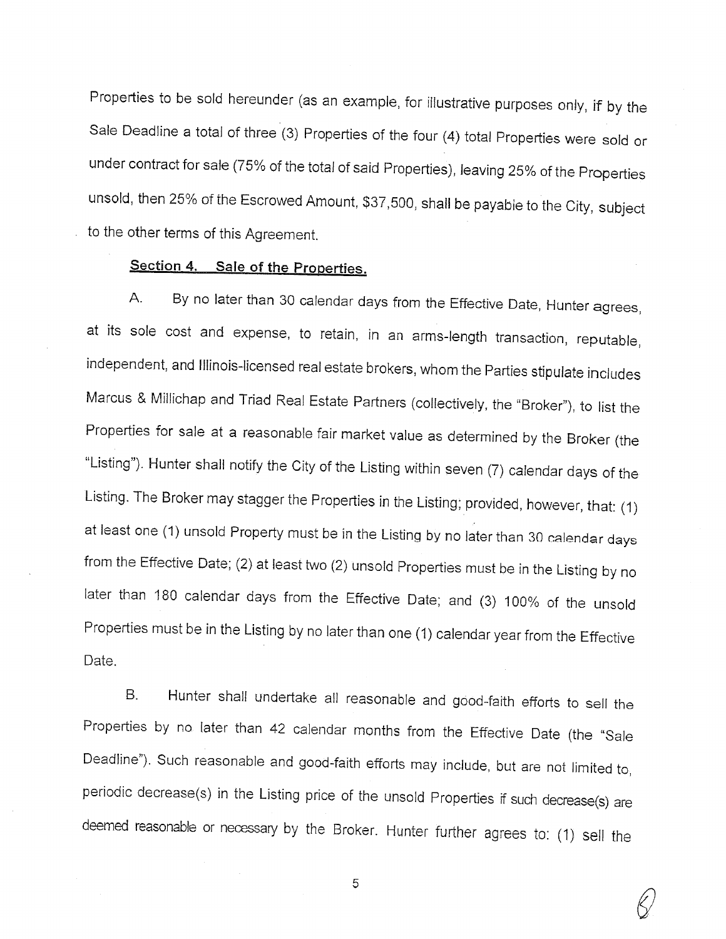Properties to be sold hereunder (as an example, for illustrative purposes only, if by the Sale Deadline a total of three (3) Properties of the four (4) total Properties were sold or under contract for sale (75% of the total of said Properties), leaving 25% of the Properties unsold, then 25% of the Escrowed Amount, \$37,500, shall be payable to the City, subject to the other terms of this Agreement.

# Section 4. Sale of the Properties.

By no later than 30 calendar days from the Effective Date, Hunter agrees,  $A_{1}$ at its sole cost and expense, to retain, in an arms-length transaction, reputable, independent, and Illinois-licensed real estate brokers, whom the Parties stipulate includes Marcus & Millichap and Triad Real Estate Partners (collectively, the "Broker"), to list the Properties for sale at a reasonable fair market value as determined by the Broker (the "Listing"). Hunter shall notify the City of the Listing within seven (7) calendar days of the Listing. The Broker may stagger the Properties in the Listing; provided, however, that: (1) at least one (1) unsold Property must be in the Listing by no later than 30 calendar days from the Effective Date; (2) at least two (2) unsold Properties must be in the Listing by no later than 180 calendar days from the Effective Date; and (3) 100% of the unsold Properties must be in the Listing by no later than one (1) calendar year from the Effective Date.

Hunter shall undertake all reasonable and good-faith efforts to sell the  $B<sub>1</sub>$ Properties by no later than 42 calendar months from the Effective Date (the "Sale Deadline"). Such reasonable and good-faith efforts may include, but are not limited to, periodic decrease(s) in the Listing price of the unsold Properties if such decrease(s) are deemed reasonable or necessary by the Broker. Hunter further agrees to: (1) sell the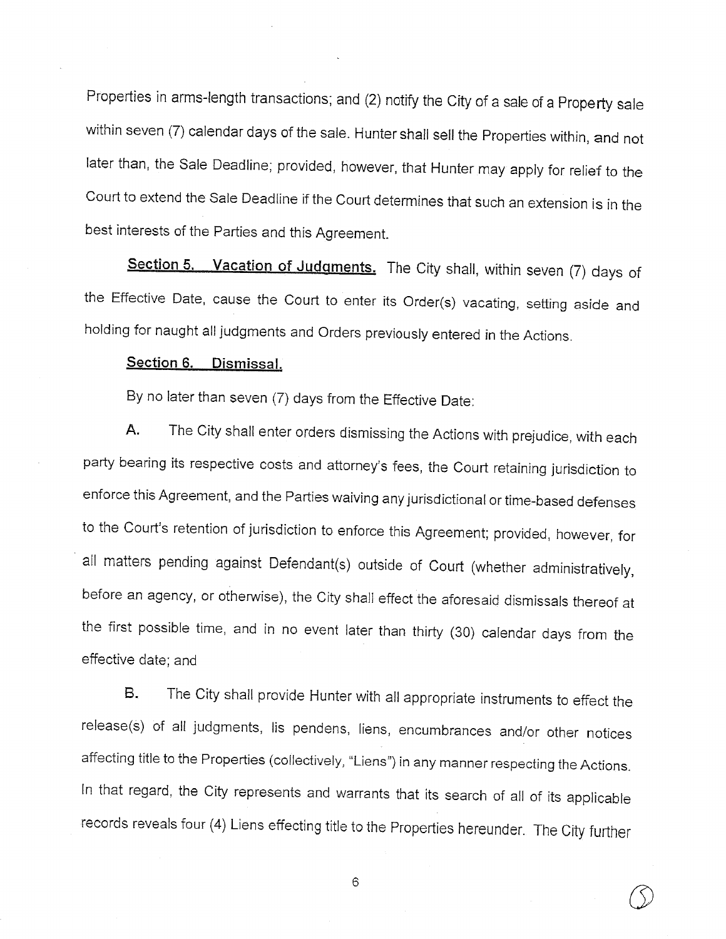Properties in arms-length transactions; and (2) notify the City of a sale of a Property sale within seven (7) calendar days of the sale. Hunter shall sell the Properties within, and not later than, the Sale Deadline; provided, however, that Hunter may apply for relief to the Court to extend the Sale Deadline if the Court determines that such an extension is in the best interests of the Parties and this Agreement.

Section 5. Vacation of Judgments. The City shall, within seven (7) days of the Effective Date, cause the Court to enter its Order(s) vacating, setting aside and holding for naught all judgments and Orders previously entered in the Actions.

# Section 6. Dismissal.

By no later than seven (7) days from the Effective Date:

The City shall enter orders dismissing the Actions with prejudice, with each А. party bearing its respective costs and attorney's fees, the Court retaining jurisdiction to enforce this Agreement, and the Parties waiving any jurisdictional or time-based defenses to the Court's retention of jurisdiction to enforce this Agreement; provided, however, for all matters pending against Defendant(s) outside of Court (whether administratively, before an agency, or otherwise), the City shall effect the aforesaid dismissals thereof at the first possible time, and in no event later than thirty (30) calendar days from the effective date: and

The City shall provide Hunter with all appropriate instruments to effect the **B.** release(s) of all judgments, lis pendens, liens, encumbrances and/or other notices affecting title to the Properties (collectively, "Liens") in any manner respecting the Actions. In that regard, the City represents and warrants that its search of all of its applicable records reveals four (4) Liens effecting title to the Properties hereunder. The City further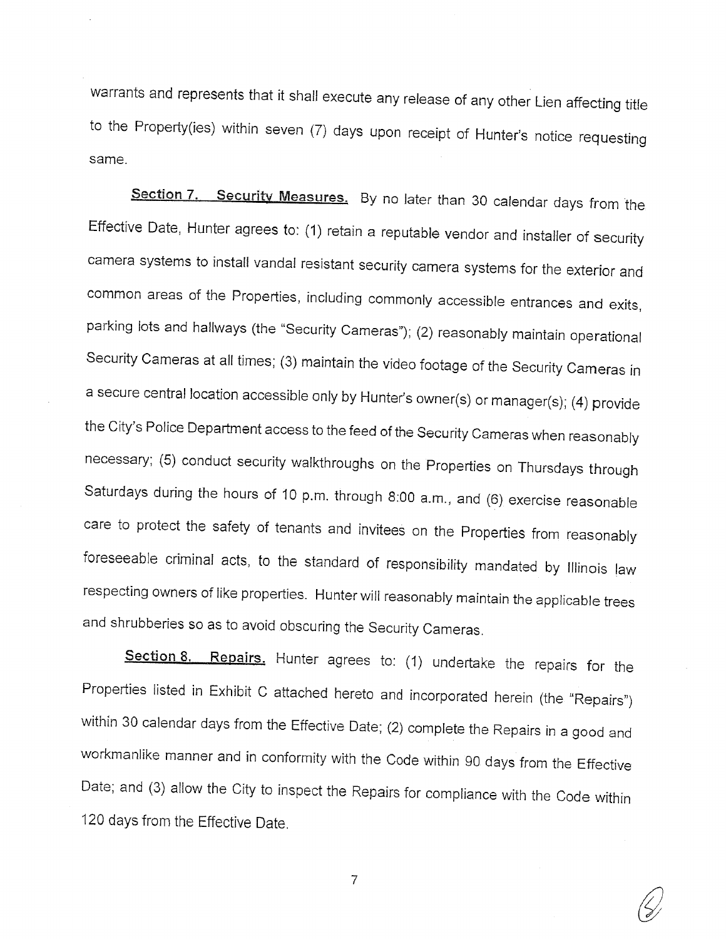warrants and represents that it shall execute any release of any other Lien affecting title to the Property(ies) within seven (7) days upon receipt of Hunter's notice requesting same.

Section 7. Security Measures. By no later than 30 calendar days from the Effective Date, Hunter agrees to: (1) retain a reputable vendor and installer of security camera systems to install vandal resistant security camera systems for the exterior and common areas of the Properties, including commonly accessible entrances and exits, parking lots and hallways (the "Security Cameras"); (2) reasonably maintain operational Security Cameras at all times; (3) maintain the video footage of the Security Cameras in a secure central location accessible only by Hunter's owner(s) or manager(s); (4) provide the City's Police Department access to the feed of the Security Cameras when reasonably necessary; (5) conduct security walkthroughs on the Properties on Thursdays through Saturdays during the hours of 10 p.m. through 8:00 a.m., and (6) exercise reasonable care to protect the safety of tenants and invitees on the Properties from reasonably foreseeable criminal acts, to the standard of responsibility mandated by Illinois law respecting owners of like properties. Hunter will reasonably maintain the applicable trees and shrubberies so as to avoid obscuring the Security Cameras.

Section 8. Repairs. Hunter agrees to: (1) undertake the repairs for the Properties listed in Exhibit C attached hereto and incorporated herein (the "Repairs") within 30 calendar days from the Effective Date; (2) complete the Repairs in a good and workmanlike manner and in conformity with the Code within 90 days from the Effective Date; and (3) allow the City to inspect the Repairs for compliance with the Code within 120 days from the Effective Date.

 $\overline{7}$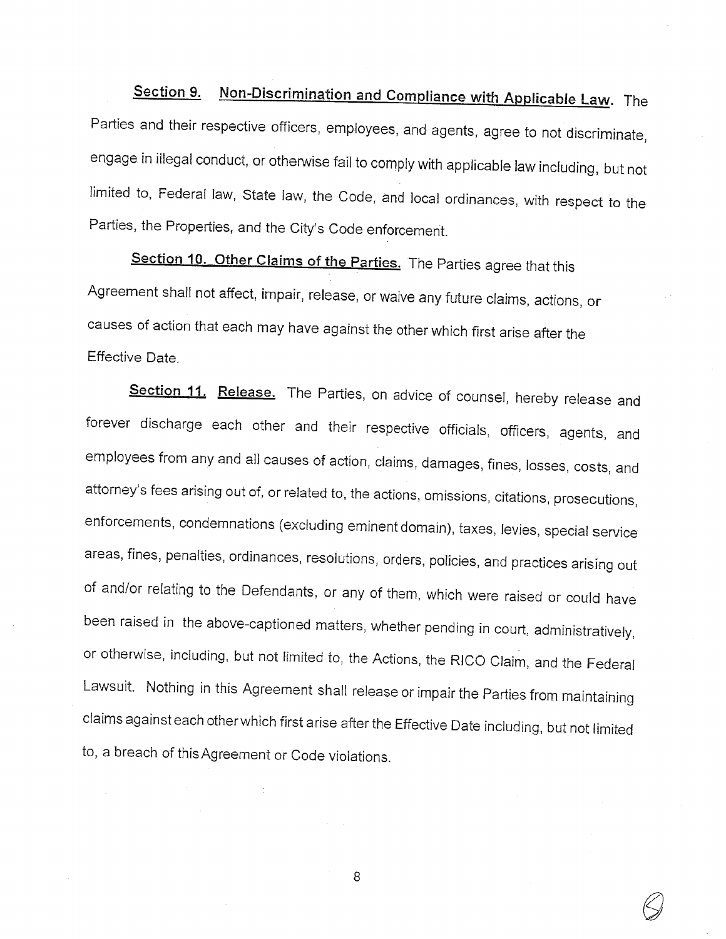Non-Discrimination and Compliance with Applicable Law. The Section 9. Parties and their respective officers, employees, and agents, agree to not discriminate, engage in illegal conduct, or otherwise fail to comply with applicable law including, but not limited to, Federal law, State law, the Code, and local ordinances, with respect to the Parties, the Properties, and the City's Code enforcement.

Section 10. Other Claims of the Parties. The Parties agree that this Agreement shall not affect, impair, release, or waive any future claims, actions, or causes of action that each may have against the other which first arise after the Effective Date.

Section 11. Release. The Parties, on advice of counsel, hereby release and forever discharge each other and their respective officials, officers, agents, and employees from any and all causes of action, claims, damages, fines, losses, costs, and attorney's fees arising out of, or related to, the actions, omissions, citations, prosecutions, enforcements, condemnations (excluding eminent domain), taxes, levies, special service areas, fines, penalties, ordinances, resolutions, orders, policies, and practices arising out of and/or relating to the Defendants, or any of them, which were raised or could have been raised in the above-captioned matters, whether pending in court, administratively, or otherwise, including, but not limited to, the Actions, the RICO Claim, and the Federal Lawsuit. Nothing in this Agreement shall release or impair the Parties from maintaining claims against each other which first arise after the Effective Date including, but not limited to, a breach of this Agreement or Code violations.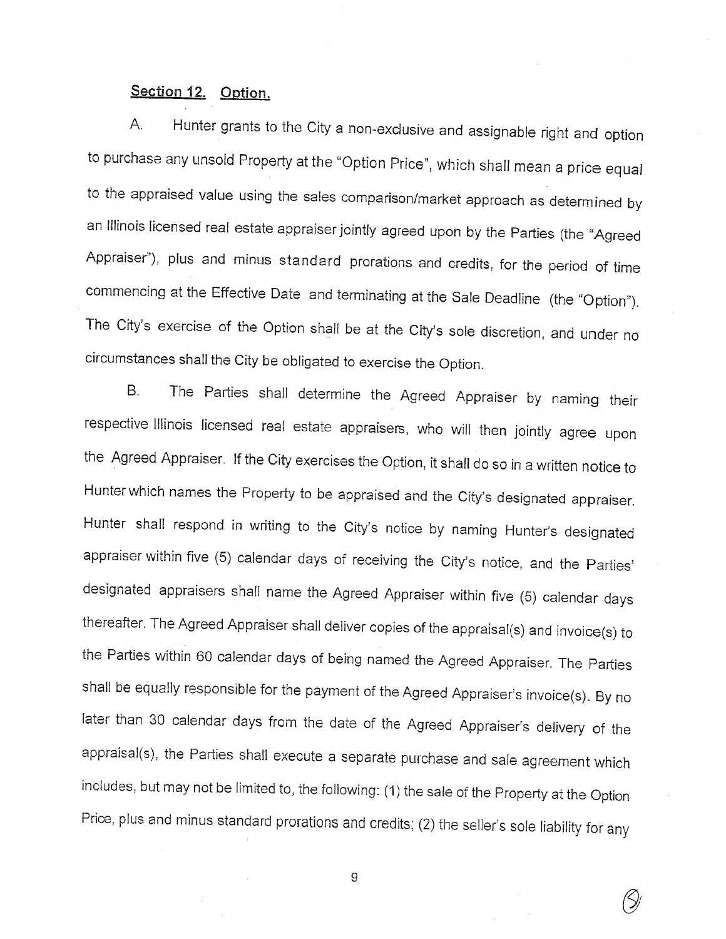# Section 12. Option.

Hunter grants to the City a non-exclusive and assignable right and option A. to purchase any unsold Property at the "Option Price", which shall mean a price equal to the appraised value using the sales comparison/market approach as determined by an Illinois licensed real estate appraiser jointly agreed upon by the Parties (the "Agreed Appraiser"), plus and minus standard prorations and credits, for the period of time commencing at the Effective Date and terminating at the Sale Deadline (the "Option"). The City's exercise of the Option shall be at the City's sole discretion, and under no circumstances shall the City be obligated to exercise the Option.

The Parties shall determine the Agreed Appraiser by naming their B. respective Illinois licensed real estate appraisers, who will then jointly agree upon the Agreed Appraiser. If the City exercises the Option, it shall do so in a written notice to Hunter which names the Property to be appraised and the City's designated appraiser. Hunter shall respond in writing to the City's notice by naming Hunter's designated appraiser within five (5) calendar days of receiving the City's notice, and the Parties' designated appraisers shall name the Agreed Appraiser within five (5) calendar days thereafter. The Agreed Appraiser shall deliver copies of the appraisal(s) and invoice(s) to the Parties within 60 calendar days of being named the Agreed Appraiser. The Parties shall be equally responsible for the payment of the Agreed Appraiser's invoice(s). By no later than 30 calendar days from the date of the Agreed Appraiser's delivery of the appraisal(s), the Parties shall execute a separate purchase and sale agreement which includes, but may not be limited to, the following: (1) the sale of the Property at the Option Price, plus and minus standard prorations and credits; (2) the seller's sole liability for any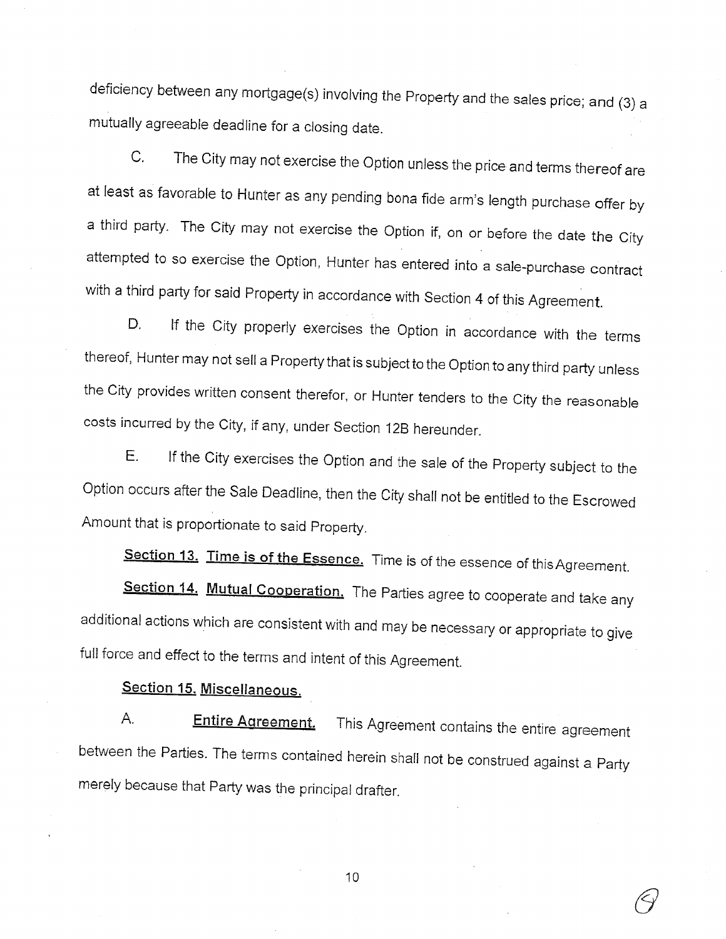deficiency between any mortgage(s) involving the Property and the sales price; and (3) a mutually agreeable deadline for a closing date.

The City may not exercise the Option unless the price and terms thereof are C. at least as favorable to Hunter as any pending bona fide arm's length purchase offer by a third party. The City may not exercise the Option if, on or before the date the City attempted to so exercise the Option, Hunter has entered into a sale-purchase contract with a third party for said Property in accordance with Section 4 of this Agreement.

If the City properly exercises the Option in accordance with the terms D. thereof, Hunter may not sell a Property that is subject to the Option to any third party unless the City provides written consent therefor, or Hunter tenders to the City the reasonable costs incurred by the City, if any, under Section 12B hereunder.

If the City exercises the Option and the sale of the Property subject to the Е. Option occurs after the Sale Deadline, then the City shall not be entitled to the Escrowed Amount that is proportionate to said Property.

Section 13. Time is of the Essence. Time is of the essence of this Agreement.

Section 14. Mutual Cooperation. The Parties agree to cooperate and take any additional actions which are consistent with and may be necessary or appropriate to give full force and effect to the terms and intent of this Agreement.

# Section 15. Miscellaneous.

А. **Entire Agreement.** This Agreement contains the entire agreement between the Parties. The terms contained herein shall not be construed against a Party merely because that Party was the principal drafter.

 $10$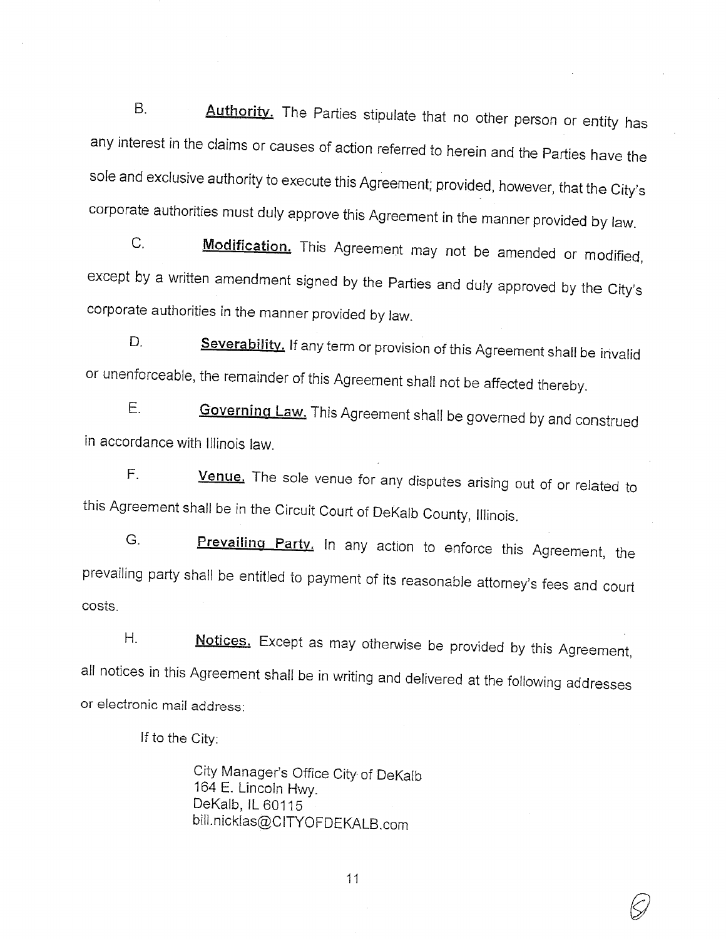$B<sub>1</sub>$ Authority. The Parties stipulate that no other person or entity has any interest in the claims or causes of action referred to herein and the Parties have the sole and exclusive authority to execute this Agreement; provided, however, that the City's corporate authorities must duly approve this Agreement in the manner provided by law.

 $C_{1}$ Modification. This Agreement may not be amended or modified, except by a written amendment signed by the Parties and duly approved by the City's corporate authorities in the manner provided by law.

Severability. If any term or provision of this Agreement shall be invalid  $\mathsf{D}$ or unenforceable, the remainder of this Agreement shall not be affected thereby.

Ε. Governing Law. This Agreement shall be governed by and construed in accordance with Illinois law.

Venue. The sole venue for any disputes arising out of or related to  $F_{\rm L}$ this Agreement shall be in the Circuit Court of DeKalb County, Illinois.

G. Prevailing Party. In any action to enforce this Agreement, the prevailing party shall be entitled to payment of its reasonable attorney's fees and court costs.

 $H_{\cdot}$ Notices. Except as may otherwise be provided by this Agreement, all notices in this Agreement shall be in writing and delivered at the following addresses or electronic mail address:

If to the City:

City Manager's Office City of DeKalb 164 E. Lincoln Hwy. DeKalb, IL 60115 bill.nicklas@CITYOFDEKALB.com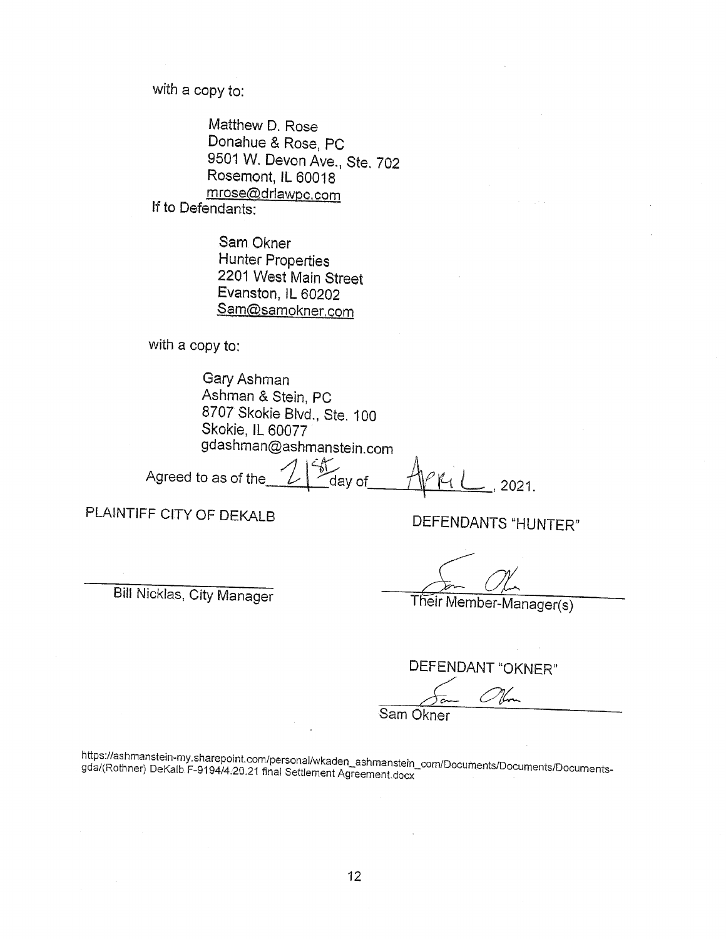with a copy to:

Matthew D. Rose Donahue & Rose, PC 9501 W. Devon Ave., Ste. 702 Rosemont, IL 60018 mrose@drlawpc.com If to Defendants:

> Sam Okner **Hunter Properties** 2201 West Main Street Evanston, IL 60202 Sam@samokner.com

with a copy to:

Gary Ashman Ashman & Stein, PC 8707 Skokie Blvd., Ste. 100 Skokie, IL 60077 gdashman@ashmanstein.com

Agreed to as of the

2021.

PLAINTIFF CITY OF DEKALB

**Bill Nicklas, City Manager** 

DEFENDANTS "HUNTER"

Their Member-Manager(s)

DEFENDANT "OKNER"

Sam Okner

https://ashmanstein-my.sharepoint.com/personal/wkaden\_ashmanstein\_com/Documents/Documents/Documentsgda/(Rothner) DeKalb F-9194/4.20.21 final Settlement Agreement.docx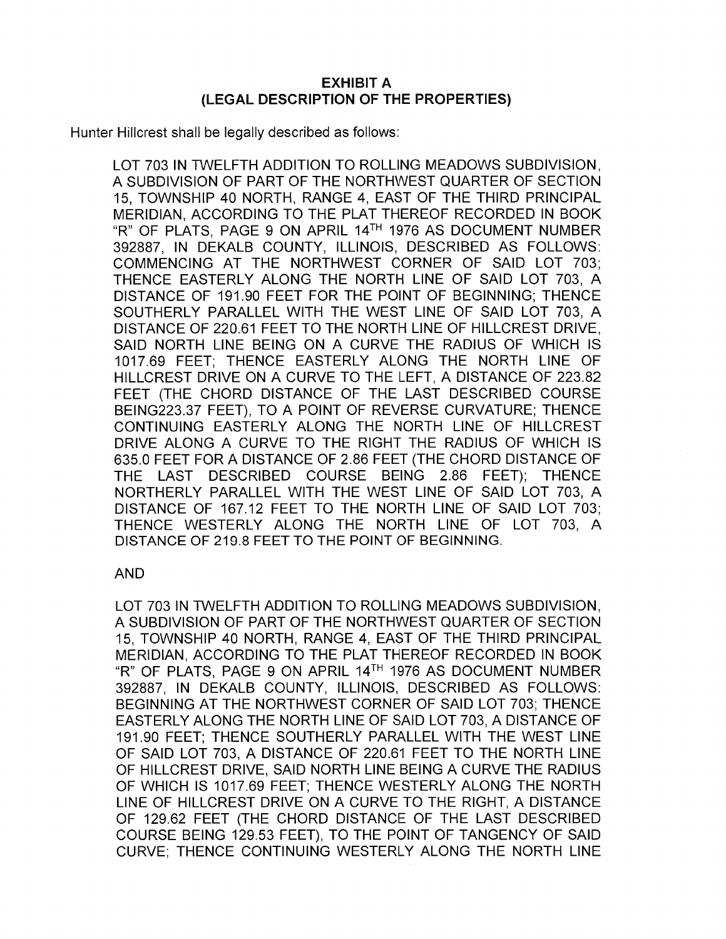# **EXHIBIT A** (LEGAL DESCRIPTION OF THE PROPERTIES)

Hunter Hillcrest shall be legally described as follows:

LOT 703 IN TWELFTH ADDITION TO ROLLING MEADOWS SUBDIVISION. A SUBDIVISION OF PART OF THE NORTHWEST QUARTER OF SECTION 15. TOWNSHIP 40 NORTH, RANGE 4, EAST OF THE THIRD PRINCIPAL MERIDIAN, ACCORDING TO THE PLAT THEREOF RECORDED IN BOOK "R" OF PLATS. PAGE 9 ON APRIL 14TH 1976 AS DOCUMENT NUMBER 392887. IN DEKALB COUNTY. ILLINOIS. DESCRIBED AS FOLLOWS: COMMENCING AT THE NORTHWEST CORNER OF SAID LOT 703: THENCE EASTERLY ALONG THE NORTH LINE OF SAID LOT 703. A DISTANCE OF 191.90 FEET FOR THE POINT OF BEGINNING: THENCE SOUTHERLY PARALLEL WITH THE WEST LINE OF SAID LOT 703. A DISTANCE OF 220.61 FEET TO THE NORTH LINE OF HILLCREST DRIVE. SAID NORTH LINE BEING ON A CURVE THE RADIUS OF WHICH IS 1017.69 FEET: THENCE EASTERLY ALONG THE NORTH LINE OF HILLCREST DRIVE ON A CURVE TO THE LEFT, A DISTANCE OF 223.82 FEET (THE CHORD DISTANCE OF THE LAST DESCRIBED COURSE BEING223.37 FEET). TO A POINT OF REVERSE CURVATURE: THENCE CONTINUING EASTERLY ALONG THE NORTH LINE OF HILLCREST DRIVE ALONG A CURVE TO THE RIGHT THE RADIUS OF WHICH IS 635.0 FEET FOR A DISTANCE OF 2.86 FEET (THE CHORD DISTANCE OF THE LAST DESCRIBED COURSE BEING 2.86 FEET); THENCE NORTHERLY PARALLEL WITH THE WEST LINE OF SAID LOT 703, A DISTANCE OF 167.12 FEET TO THE NORTH LINE OF SAID LOT 703; THENCE WESTERLY ALONG THE NORTH LINE OF LOT 703, A DISTANCE OF 219.8 FEET TO THE POINT OF BEGINNING.

## **AND**

LOT 703 IN TWELFTH ADDITION TO ROLLING MEADOWS SUBDIVISION. A SUBDIVISION OF PART OF THE NORTHWEST QUARTER OF SECTION 15, TOWNSHIP 40 NORTH, RANGE 4, EAST OF THE THIRD PRINCIPAL MERIDIAN. ACCORDING TO THE PLAT THEREOF RECORDED IN BOOK "R" OF PLATS, PAGE 9 ON APRIL 14TH 1976 AS DOCUMENT NUMBER 392887. IN DEKALB COUNTY. ILLINOIS. DESCRIBED AS FOLLOWS: BEGINNING AT THE NORTHWEST CORNER OF SAID LOT 703: THENCE EASTERLY ALONG THE NORTH LINE OF SAID LOT 703. A DISTANCE OF 191.90 FEET; THENCE SOUTHERLY PARALLEL WITH THE WEST LINE OF SAID LOT 703. A DISTANCE OF 220.61 FEET TO THE NORTH LINE OF HILLCREST DRIVE, SAID NORTH LINE BEING A CURVE THE RADIUS OF WHICH IS 1017.69 FEET: THENCE WESTERLY ALONG THE NORTH LINE OF HILLCREST DRIVE ON A CURVE TO THE RIGHT, A DISTANCE OF 129.62 FEET (THE CHORD DISTANCE OF THE LAST DESCRIBED COURSE BEING 129.53 FEET). TO THE POINT OF TANGENCY OF SAID CURVE; THENCE CONTINUING WESTERLY ALONG THE NORTH LINE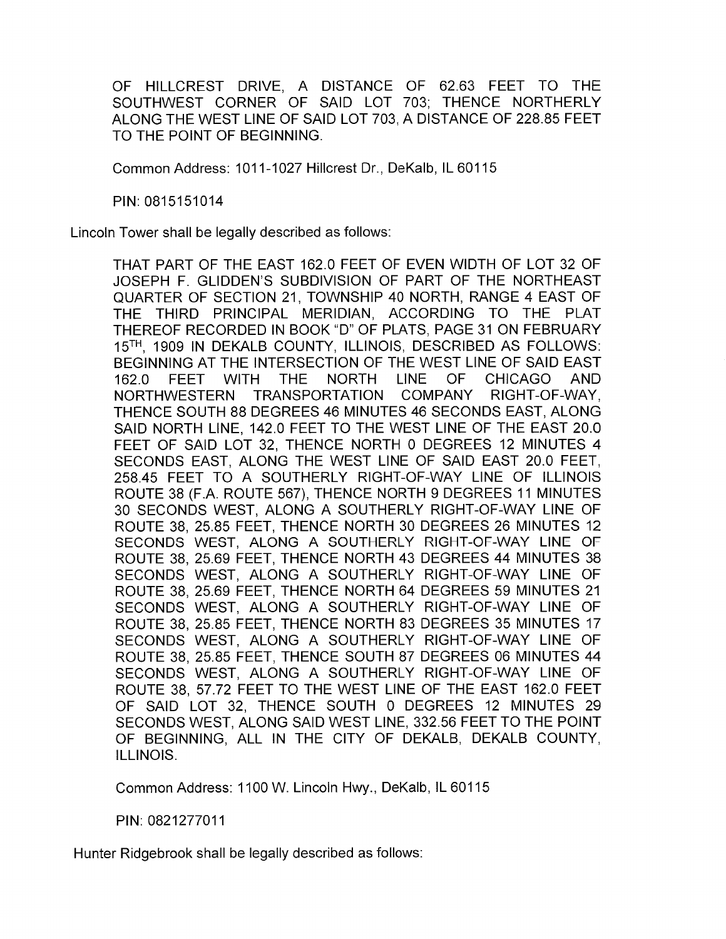OF HILLCREST DRIVE, A DISTANCE OF 62.63 FEET TO THE SOUTHWEST CORNER OF SAID LOT 703: THENCE NORTHERLY ALONG THE WEST LINE OF SAID LOT 703. A DISTANCE OF 228.85 FEET TO THE POINT OF BEGINNING.

Common Address: 1011-1027 Hillcrest Dr., DeKalb, IL 60115

PIN: 0815151014

Lincoln Tower shall be legally described as follows:

THAT PART OF THE EAST 162.0 FEET OF EVEN WIDTH OF LOT 32 OF JOSEPH F. GLIDDEN'S SUBDIVISION OF PART OF THE NORTHEAST QUARTER OF SECTION 21. TOWNSHIP 40 NORTH, RANGE 4 EAST OF THE THIRD PRINCIPAL MERIDIAN, ACCORDING TO THE PLAT THEREOF RECORDED IN BOOK "D" OF PLATS. PAGE 31 ON FEBRUARY 15TH, 1909 IN DEKALB COUNTY, ILLINOIS, DESCRIBED AS FOLLOWS: BEGINNING AT THE INTERSECTION OF THE WEST LINE OF SAID EAST 162.0 **FEET WITH** THE. **NORTH LINE OF CHICAGO AND** TRANSPORTATION COMPANY RIGHT-OF-WAY. NORTHWESTERN THENCE SOUTH 88 DEGREES 46 MINUTES 46 SECONDS EAST, ALONG SAID NORTH LINE, 142.0 FEET TO THE WEST LINE OF THE EAST 20.0 FEET OF SAID LOT 32, THENCE NORTH 0 DEGREES 12 MINUTES 4 SECONDS EAST. ALONG THE WEST LINE OF SAID EAST 20.0 FEET. 258.45 FEET TO A SOUTHERLY RIGHT-OF-WAY LINE OF ILLINOIS ROUTE 38 (F.A. ROUTE 567), THENCE NORTH 9 DEGREES 11 MINUTES 30 SECONDS WEST, ALONG A SOUTHERLY RIGHT-OF-WAY LINE OF ROUTE 38, 25.85 FEET, THENCE NORTH 30 DEGREES 26 MINUTES 12 SECONDS WEST, ALONG A SOUTHERLY RIGHT-OF-WAY LINE OF ROUTE 38, 25.69 FEET, THENCE NORTH 43 DEGREES 44 MINUTES 38 SECONDS WEST. ALONG A SOUTHERLY RIGHT-OF-WAY LINE OF ROUTE 38, 25.69 FEET, THENCE NORTH 64 DEGREES 59 MINUTES 21 SECONDS WEST. ALONG A SOUTHERLY RIGHT-OF-WAY LINE OF ROUTE 38, 25.85 FEET, THENCE NORTH 83 DEGREES 35 MINUTES 17 SECONDS WEST. ALONG A SOUTHERLY RIGHT-OF-WAY LINE OF ROUTE 38, 25.85 FEET, THENCE SOUTH 87 DEGREES 06 MINUTES 44 SECONDS WEST, ALONG A SOUTHERLY RIGHT-OF-WAY LINE OF ROUTE 38, 57.72 FEET TO THE WEST LINE OF THE EAST 162.0 FEET OF SAID LOT 32. THENCE SOUTH 0 DEGREES 12 MINUTES 29 SECONDS WEST, ALONG SAID WEST LINE, 332.56 FEET TO THE POINT OF BEGINNING, ALL IN THE CITY OF DEKALB, DEKALB COUNTY, ILLINOIS.

Common Address: 1100 W. Lincoln Hwy., DeKalb, IL 60115

PIN: 0821277011

Hunter Ridgebrook shall be legally described as follows: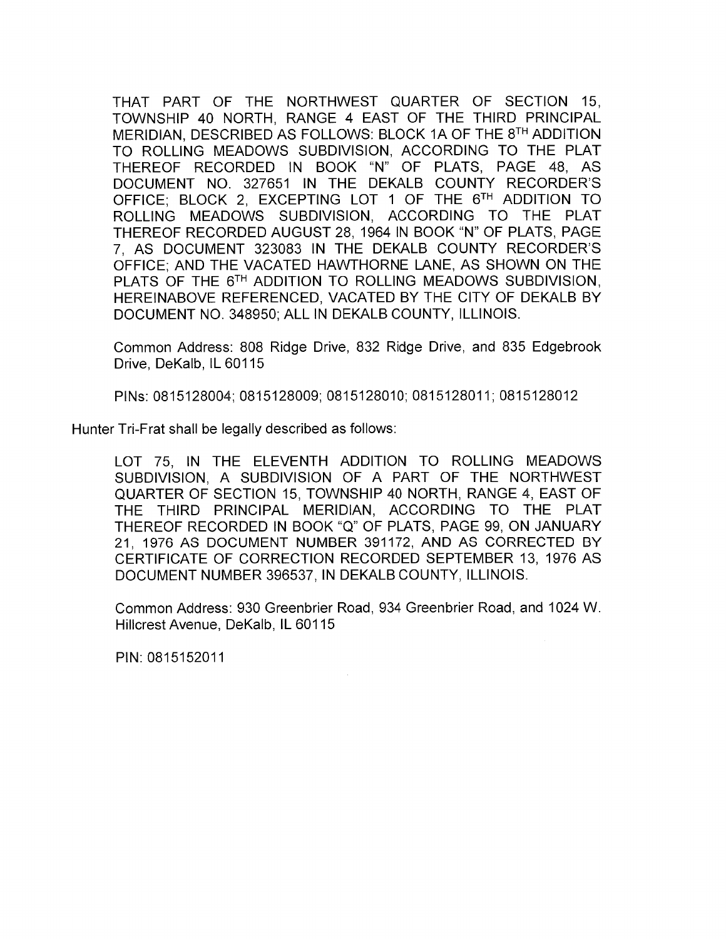THAT PART OF THE NORTHWEST QUARTER OF SECTION 15. TOWNSHIP 40 NORTH, RANGE 4 EAST OF THE THIRD PRINCIPAL MERIDIAN, DESCRIBED AS FOLLOWS: BLOCK 1A OF THE 8TH ADDITION TO ROLLING MEADOWS SUBDIVISION, ACCORDING TO THE PLAT THEREOF RECORDED IN BOOK "N" OF PLATS, PAGE 48, AS DOCUMENT NO. 327651 IN THE DEKALB COUNTY RECORDER'S OFFICE: BLOCK 2. EXCEPTING LOT 1 OF THE 6TH ADDITION TO ROLLING MEADOWS SUBDIVISION, ACCORDING TO THE PLAT THEREOF RECORDED AUGUST 28, 1964 IN BOOK "N" OF PLATS, PAGE 7, AS DOCUMENT 323083 IN THE DEKALB COUNTY RECORDER'S OFFICE: AND THE VACATED HAWTHORNE LANE, AS SHOWN ON THE PLATS OF THE 6TH ADDITION TO ROLLING MEADOWS SUBDIVISION. HEREINABOVE REFERENCED, VACATED BY THE CITY OF DEKALB BY DOCUMENT NO. 348950; ALL IN DEKALB COUNTY, ILLINOIS.

Common Address: 808 Ridge Drive, 832 Ridge Drive, and 835 Edgebrook Drive. DeKalb. IL 60115

PINs: 0815128004; 0815128009; 0815128010; 0815128011; 0815128012

Hunter Tri-Frat shall be legally described as follows:

LOT 75, IN THE ELEVENTH ADDITION TO ROLLING MEADOWS SUBDIVISION. A SUBDIVISION OF A PART OF THE NORTHWEST QUARTER OF SECTION 15, TOWNSHIP 40 NORTH, RANGE 4, EAST OF THE THIRD PRINCIPAL MERIDIAN. ACCORDING TO THE PLAT THEREOF RECORDED IN BOOK "Q" OF PLATS, PAGE 99, ON JANUARY 21, 1976 AS DOCUMENT NUMBER 391172, AND AS CORRECTED BY CERTIFICATE OF CORRECTION RECORDED SEPTEMBER 13, 1976 AS DOCUMENT NUMBER 396537, IN DEKALB COUNTY, ILLINOIS.

Common Address: 930 Greenbrier Road, 934 Greenbrier Road, and 1024 W. Hillcrest Avenue, DeKalb, IL 60115

PIN: 0815152011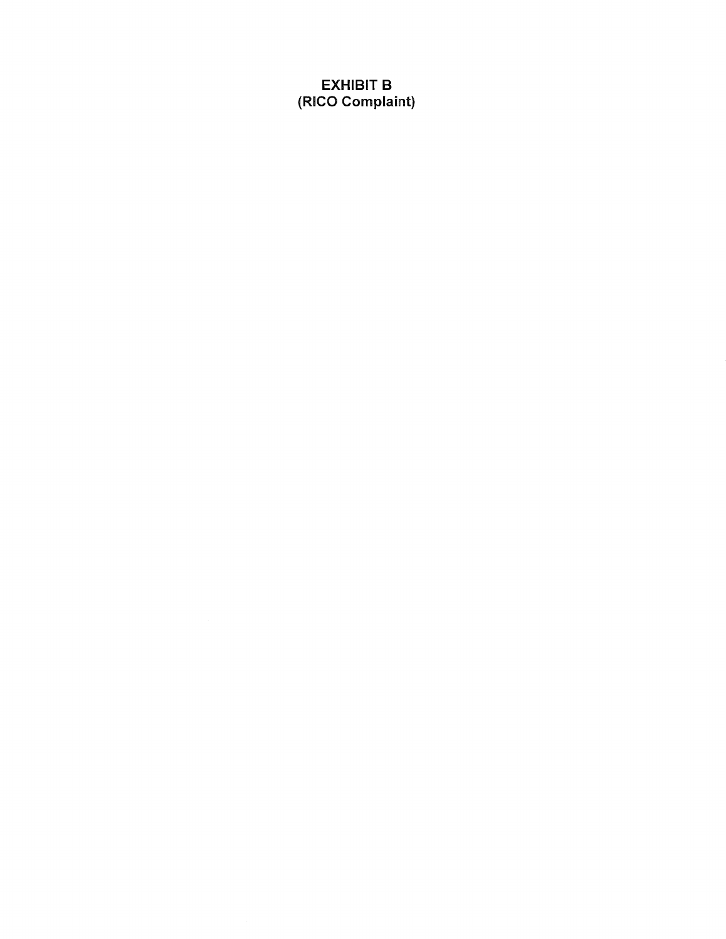# **EXHIBIT B** (RICO Complaint)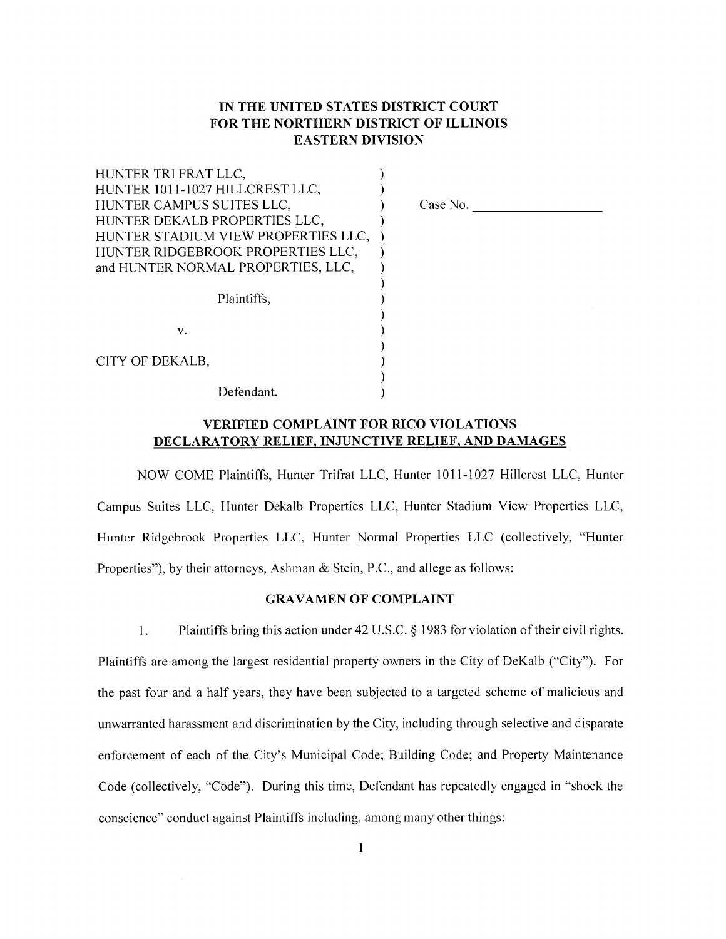# IN THE UNITED STATES DISTRICT COURT FOR THE NORTHERN DISTRICT OF ILLINOIS **EASTERN DIVISION**

| HUNTER TRI FRAT LLC,                |  |
|-------------------------------------|--|
| HUNTER 1011-1027 HILLCREST LLC,     |  |
| HUNTER CAMPUS SUITES LLC,           |  |
| HUNTER DEKALB PROPERTIES LLC,       |  |
| HUNTER STADIUM VIEW PROPERTIES LLC, |  |
| HUNTER RIDGEBROOK PROPERTIES LLC,   |  |
| and HUNTER NORMAL PROPERTIES, LLC,  |  |
|                                     |  |
| Plaintiffs.                         |  |
|                                     |  |
| V.                                  |  |
|                                     |  |
| CITY OF DEKALB,                     |  |
|                                     |  |
| Defendant.                          |  |

Case No.

## **VERIFIED COMPLAINT FOR RICO VIOLATIONS** DECLARATORY RELIEF, INJUNCTIVE RELIEF, AND DAMAGES

NOW COME Plaintiffs, Hunter Trifrat LLC, Hunter 1011-1027 Hillcrest LLC, Hunter Campus Suites LLC, Hunter Dekalb Properties LLC, Hunter Stadium View Properties LLC, Hunter Ridgebrook Properties LLC, Hunter Normal Properties LLC (collectively, "Hunter Properties"), by their attorneys, Ashman & Stein, P.C., and allege as follows:

#### **GRAVAMEN OF COMPLAINT**

 $1.$ Plaintiffs bring this action under 42 U.S.C.  $\S$  1983 for violation of their civil rights. Plaintiffs are among the largest residential property owners in the City of DeKalb ("City"). For the past four and a half years, they have been subjected to a targeted scheme of malicious and unwarranted harassment and discrimination by the City, including through selective and disparate enforcement of each of the City's Municipal Code; Building Code; and Property Maintenance Code (collectively, "Code"). During this time, Defendant has repeatedly engaged in "shock the conscience" conduct against Plaintiffs including, among many other things: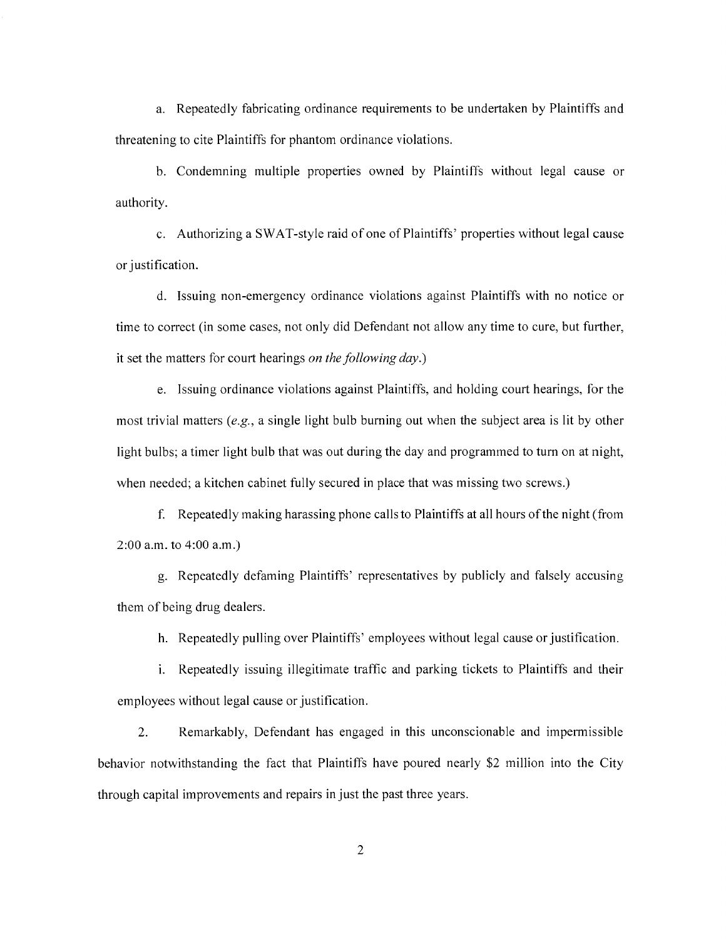a. Repeatedly fabricating ordinance requirements to be undertaken by Plaintiffs and threatening to cite Plaintiffs for phantom ordinance violations.

b. Condemning multiple properties owned by Plaintiffs without legal cause or authority.

c. Authorizing a SWAT-style raid of one of Plaintiffs' properties without legal cause or justification.

d. Issuing non-emergency ordinance violations against Plaintiffs with no notice or time to correct (in some cases, not only did Defendant not allow any time to cure, but further, it set the matters for court hearings on the following day.)

e. Issuing ordinance violations against Plaintiffs, and holding court hearings, for the most trivial matters (e.g., a single light bulb burning out when the subject area is lit by other light bulbs; a timer light bulb that was out during the day and programmed to turn on at night, when needed; a kitchen cabinet fully secured in place that was missing two screws.)

f. Repeatedly making harassing phone calls to Plaintiffs at all hours of the night (from  $2:00$  a.m. to  $4:00$  a.m.)

g. Repeatedly defaming Plaintiffs' representatives by publicly and falsely accusing them of being drug dealers.

h. Repeatedly pulling over Plaintiffs' employees without legal cause or justification.

i. Repeatedly issuing illegitimate traffic and parking tickets to Plaintiffs and their employees without legal cause or justification.

 $\overline{2}$ . Remarkably, Defendant has engaged in this unconscionable and impermissible behavior notwithstanding the fact that Plaintiffs have poured nearly \$2 million into the City through capital improvements and repairs in just the past three years.

 $\overline{2}$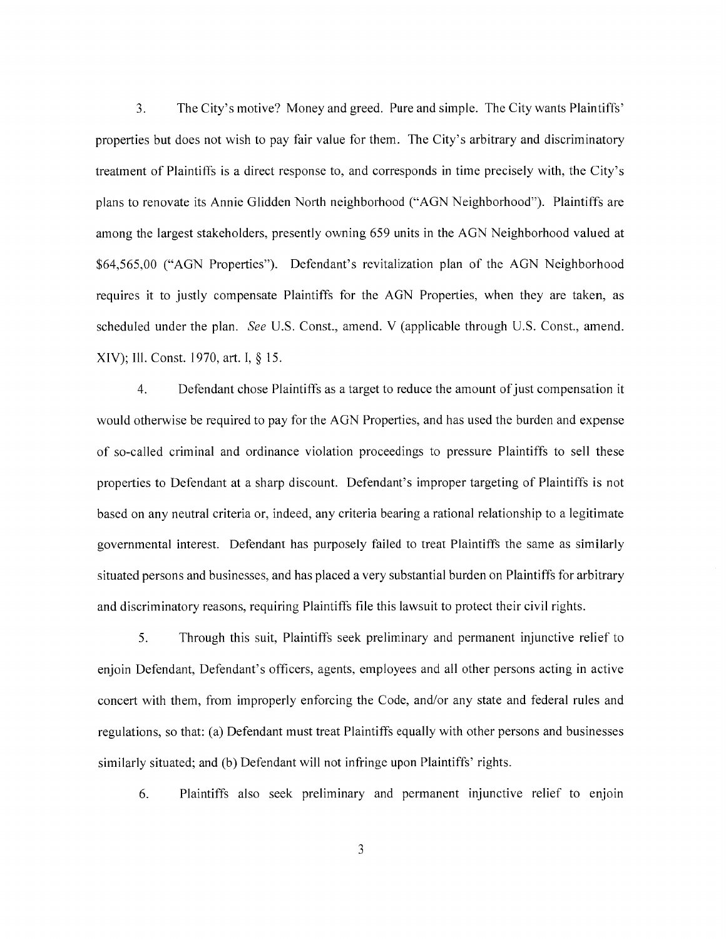The City's motive? Money and greed. Pure and simple. The City wants Plaintiffs'  $3.$ properties but does not wish to pay fair value for them. The City's arbitrary and discriminatory treatment of Plaintiffs is a direct response to, and corresponds in time precisely with, the City's plans to renovate its Annie Glidden North neighborhood ("AGN Neighborhood"). Plaintiffs are among the largest stakeholders, presently owning 659 units in the AGN Neighborhood valued at \$64,565,00 ("AGN Properties"). Defendant's revitalization plan of the AGN Neighborhood requires it to justly compensate Plaintiffs for the AGN Properties, when they are taken, as scheduled under the plan. See U.S. Const., amend. V (applicable through U.S. Const., amend. XIV); Ill. Const. 1970, art. I, § 15.

 $\overline{4}$ . Defendant chose Plaintiffs as a target to reduce the amount of just compensation it would otherwise be required to pay for the AGN Properties, and has used the burden and expense of so-called criminal and ordinance violation proceedings to pressure Plaintiffs to sell these properties to Defendant at a sharp discount. Defendant's improper targeting of Plaintiffs is not based on any neutral criteria or, indeed, any criteria bearing a rational relationship to a legitimate governmental interest. Defendant has purposely failed to treat Plaintiffs the same as similarly situated persons and businesses, and has placed a very substantial burden on Plaintiffs for arbitrary and discriminatory reasons, requiring Plaintiffs file this lawsuit to protect their civil rights.

5. Through this suit, Plaintiffs seek preliminary and permanent injunctive relief to enjoin Defendant, Defendant's officers, agents, employees and all other persons acting in active concert with them, from improperly enforcing the Code, and/or any state and federal rules and regulations, so that: (a) Defendant must treat Plaintiffs equally with other persons and businesses similarly situated; and (b) Defendant will not infringe upon Plaintiffs' rights.

Plaintiffs also seek preliminary and permanent injunctive relief to enjoin 6.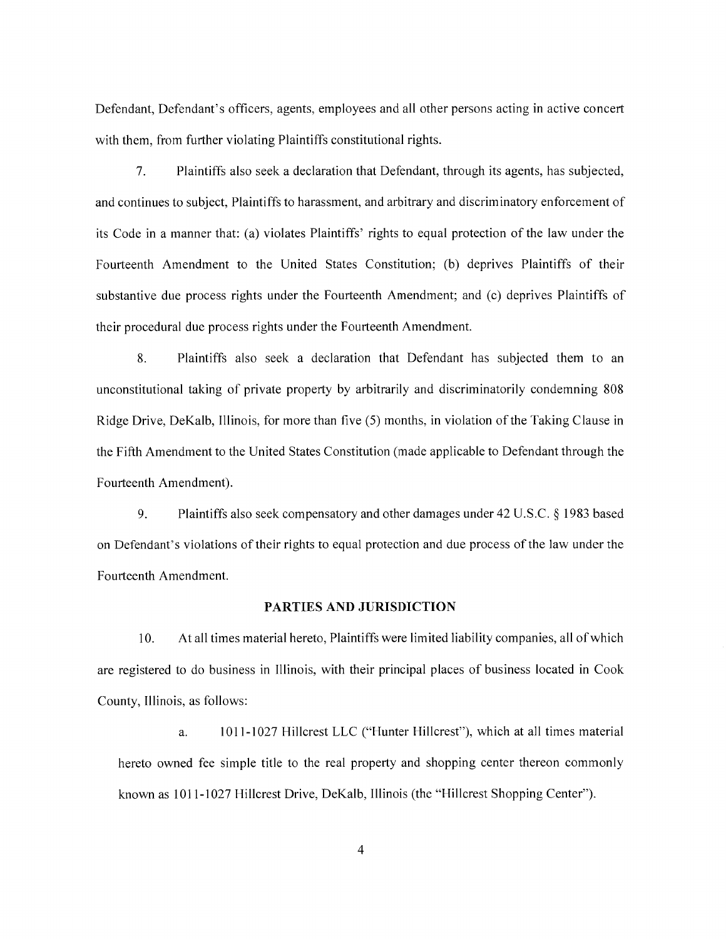Defendant, Defendant's officers, agents, employees and all other persons acting in active concert with them, from further violating Plaintiffs constitutional rights.

 $7<sub>1</sub>$ Plaintiffs also seek a declaration that Defendant, through its agents, has subjected, and continues to subject, Plaintiffs to harassment, and arbitrary and discriminatory enforcement of its Code in a manner that: (a) violates Plaintiffs' rights to equal protection of the law under the Fourteenth Amendment to the United States Constitution; (b) deprives Plaintiffs of their substantive due process rights under the Fourteenth Amendment; and (c) deprives Plaintiffs of their procedural due process rights under the Fourteenth Amendment.

8. Plaintiffs also seek a declaration that Defendant has subjected them to an unconstitutional taking of private property by arbitrarily and discriminatorily condemning 808 Ridge Drive, DeKalb, Illinois, for more than five (5) months, in violation of the Taking Clause in the Fifth Amendment to the United States Constitution (made applicable to Defendant through the Fourteenth Amendment).

9. Plaintiffs also seek compensatory and other damages under 42 U.S.C. § 1983 based on Defendant's violations of their rights to equal protection and due process of the law under the Fourteenth Amendment.

#### PARTIES AND JURISDICTION

10. At all times material hereto, Plaintiffs were limited liability companies, all of which are registered to do business in Illinois, with their principal places of business located in Cook County, Illinois, as follows:

1011-1027 Hillcrest LLC ("Hunter Hillcrest"), which at all times material a. hereto owned fee simple title to the real property and shopping center thereon commonly known as 1011-1027 Hillcrest Drive, DeKalb, Illinois (the "Hillcrest Shopping Center").

 $\overline{4}$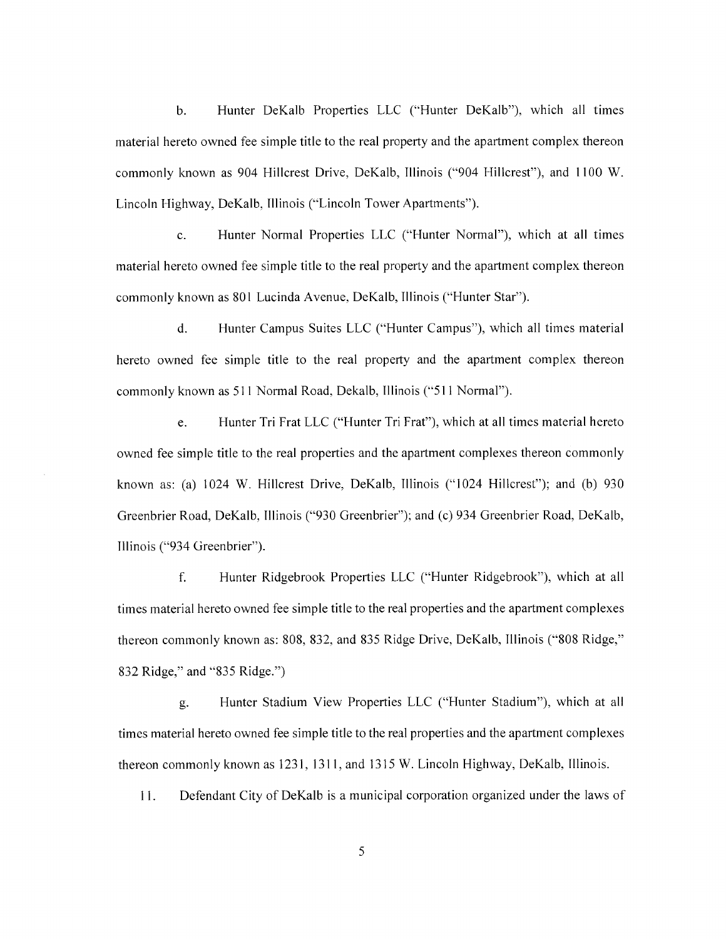$\mathbf{b}$ . Hunter DeKalb Properties LLC ("Hunter DeKalb"), which all times material hereto owned fee simple title to the real property and the apartment complex thereon commonly known as 904 Hillcrest Drive, DeKalb, Illinois ("904 Hillcrest"), and 1100 W. Lincoln Highway, DeKalb, Illinois ("Lincoln Tower Apartments").

Hunter Normal Properties LLC ("Hunter Normal"), which at all times  $\mathbf{c}$ . material hereto owned fee simple title to the real property and the apartment complex thereon commonly known as 801 Lucinda Avenue, DeKalb, Illinois ("Hunter Star").

 $d.$ Hunter Campus Suites LLC ("Hunter Campus"), which all times material hereto owned fee simple title to the real property and the apartment complex thereon commonly known as 511 Normal Road, Dekalb, Illinois ("511 Normal").

Hunter Tri Frat LLC ("Hunter Tri Frat"), which at all times material hereto e. owned fee simple title to the real properties and the apartment complexes thereon commonly known as: (a) 1024 W. Hillcrest Drive, DeKalb, Illinois ("1024 Hillcrest"); and (b) 930 Greenbrier Road, DeKalb, Illinois ("930 Greenbrier"); and (c) 934 Greenbrier Road, DeKalb, Illinois ("934 Greenbrier").

f. Hunter Ridgebrook Properties LLC ("Hunter Ridgebrook"), which at all times material hereto owned fee simple title to the real properties and the apartment complexes thereon commonly known as: 808, 832, and 835 Ridge Drive, DeKalb, Illinois ("808 Ridge," 832 Ridge," and "835 Ridge.")

Hunter Stadium View Properties LLC ("Hunter Stadium"), which at all g. times material hereto owned fee simple title to the real properties and the apartment complexes thereon commonly known as 1231, 1311, and 1315 W. Lincoln Highway, DeKalb, Illinois.

11. Defendant City of DeKalb is a municipal corporation organized under the laws of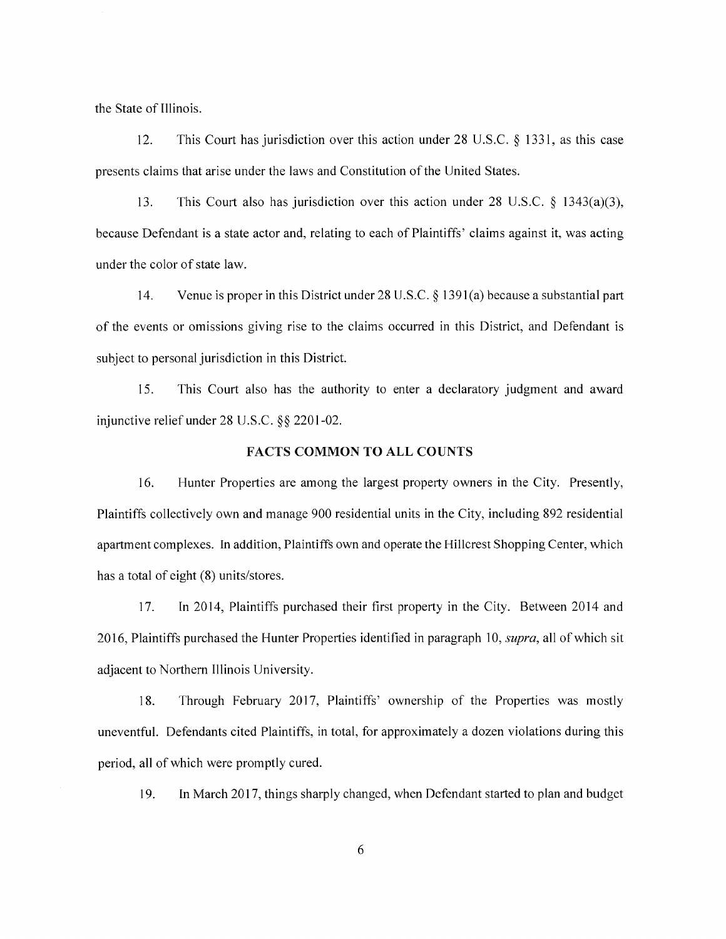the State of Illinois.

This Court has jurisdiction over this action under 28 U.S.C.  $\S$  1331, as this case  $12.$ presents claims that arise under the laws and Constitution of the United States.

13. This Court also has jurisdiction over this action under 28 U.S.C.  $\S$  1343(a)(3), because Defendant is a state actor and, relating to each of Plaintiffs' claims against it, was acting under the color of state law.

 $14.$ Venue is proper in this District under 28 U.S.C.  $\S$  1391(a) because a substantial part of the events or omissions giving rise to the claims occurred in this District, and Defendant is subject to personal jurisdiction in this District.

15. This Court also has the authority to enter a declaratory judgment and award injunctive relief under  $28$  U.S.C.  $88$  2201-02.

#### **FACTS COMMON TO ALL COUNTS**

16. Hunter Properties are among the largest property owners in the City. Presently, Plaintiffs collectively own and manage 900 residential units in the City, including 892 residential apartment complexes. In addition, Plaintiffs own and operate the Hillcrest Shopping Center, which has a total of eight (8) units/stores.

17. In 2014, Plaintiffs purchased their first property in the City. Between 2014 and 2016, Plaintiffs purchased the Hunter Properties identified in paragraph 10, *supra*, all of which sit adjacent to Northern Illinois University.

18. Through February 2017, Plaintiffs' ownership of the Properties was mostly uneventful. Defendants cited Plaintiffs, in total, for approximately a dozen violations during this period, all of which were promptly cured.

In March 2017, things sharply changed, when Defendant started to plan and budget 19.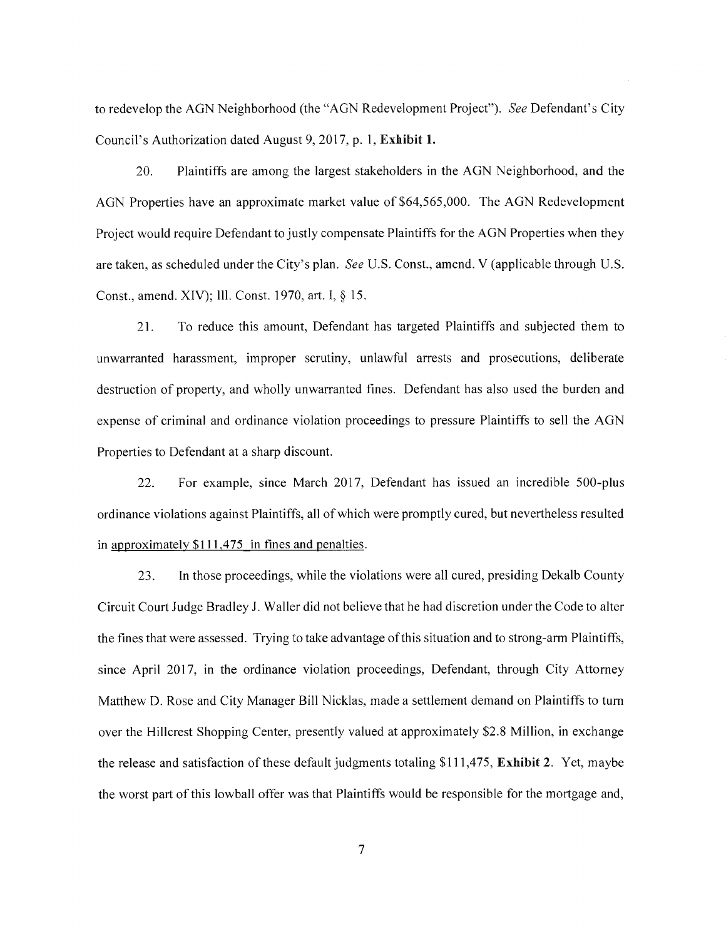to redevelop the AGN Neighborhood (the "AGN Redevelopment Project"). See Defendant's City Council's Authorization dated August 9, 2017, p. 1, Exhibit 1.

Plaintiffs are among the largest stakeholders in the AGN Neighborhood, and the 20. AGN Properties have an approximate market value of \$64,565,000. The AGN Redevelopment Project would require Defendant to justly compensate Plaintiffs for the AGN Properties when they are taken, as scheduled under the City's plan. See U.S. Const., amend. V (applicable through U.S. Const., amend. XIV); Ill. Const. 1970, art. I, § 15.

21. To reduce this amount, Defendant has targeted Plaintiffs and subjected them to unwarranted harassment, improper scrutiny, unlawful arrests and prosecutions, deliberate destruction of property, and wholly unwarranted fines. Defendant has also used the burden and expense of criminal and ordinance violation proceedings to pressure Plaintiffs to sell the AGN Properties to Defendant at a sharp discount.

22. For example, since March 2017, Defendant has issued an incredible 500-plus ordinance violations against Plaintiffs, all of which were promptly cured, but nevertheless resulted in approximately \$111,475 in fines and penalties.

23. In those proceedings, while the violations were all cured, presiding Dekalb County Circuit Court Judge Bradley J. Waller did not believe that he had discretion under the Code to alter the fines that were assessed. Trying to take advantage of this situation and to strong-arm Plaintiffs, since April 2017, in the ordinance violation proceedings, Defendant, through City Attorney Matthew D. Rose and City Manager Bill Nicklas, made a settlement demand on Plaintiffs to turn over the Hillcrest Shopping Center, presently valued at approximately \$2.8 Million, in exchange the release and satisfaction of these default judgments totaling \$111,475, Exhibit 2. Yet, maybe the worst part of this lowball offer was that Plaintiffs would be responsible for the mortgage and,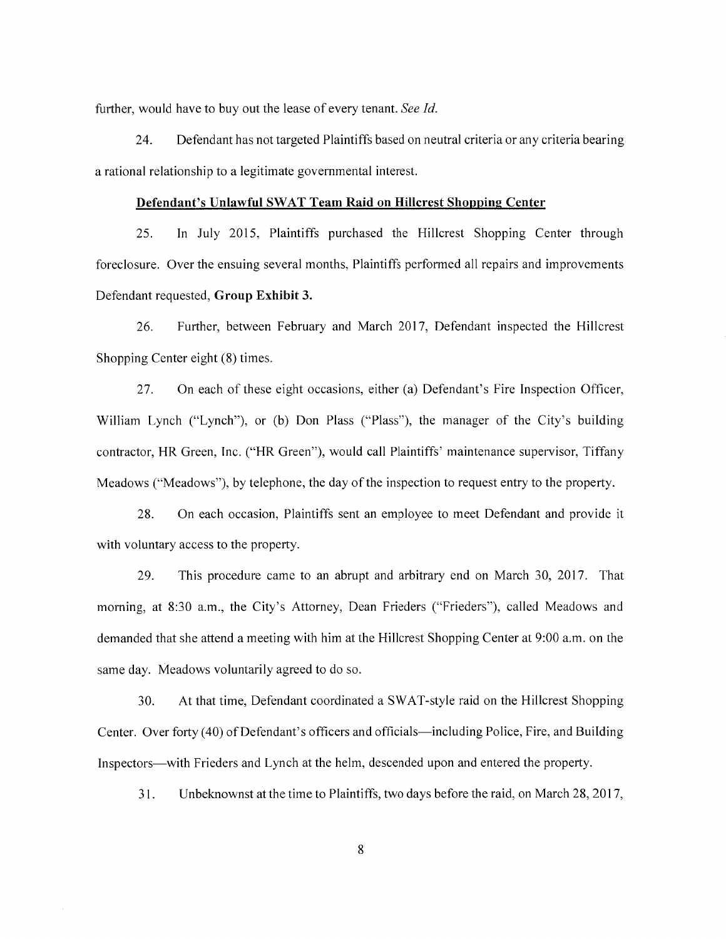further, would have to buy out the lease of every tenant. See Id.

24. Defendant has not targeted Plaintiffs based on neutral criteria or any criteria bearing a rational relationship to a legitimate governmental interest.

#### Defendant's Unlawful SWAT Team Raid on Hillcrest Shopping Center

25. In July 2015, Plaintiffs purchased the Hillcrest Shopping Center through foreclosure. Over the ensuing several months, Plaintiffs performed all repairs and improvements Defendant requested, Group Exhibit 3.

Further, between February and March 2017, Defendant inspected the Hillcrest 26. Shopping Center eight (8) times.

On each of these eight occasions, either (a) Defendant's Fire Inspection Officer, 27. William Lynch ("Lynch"), or (b) Don Plass ("Plass"), the manager of the City's building contractor, HR Green, Inc. ("HR Green"), would call Plaintiffs' maintenance supervisor, Tiffany Meadows ("Meadows"), by telephone, the day of the inspection to request entry to the property.

28. On each occasion, Plaintiffs sent an employee to meet Defendant and provide it with voluntary access to the property.

29. This procedure came to an abrupt and arbitrary end on March 30, 2017. That morning, at 8:30 a.m., the City's Attorney, Dean Frieders ("Frieders"), called Meadows and demanded that she attend a meeting with him at the Hillcrest Shopping Center at 9:00 a.m. on the same day. Meadows voluntarily agreed to do so.

At that time, Defendant coordinated a SWAT-style raid on the Hillcrest Shopping 30. Center. Over forty (40) of Defendant's officers and officials—including Police, Fire, and Building Inspectors—with Frieders and Lynch at the helm, descended upon and entered the property.

Unbeknownst at the time to Plaintiffs, two days before the raid, on March 28, 2017, 31.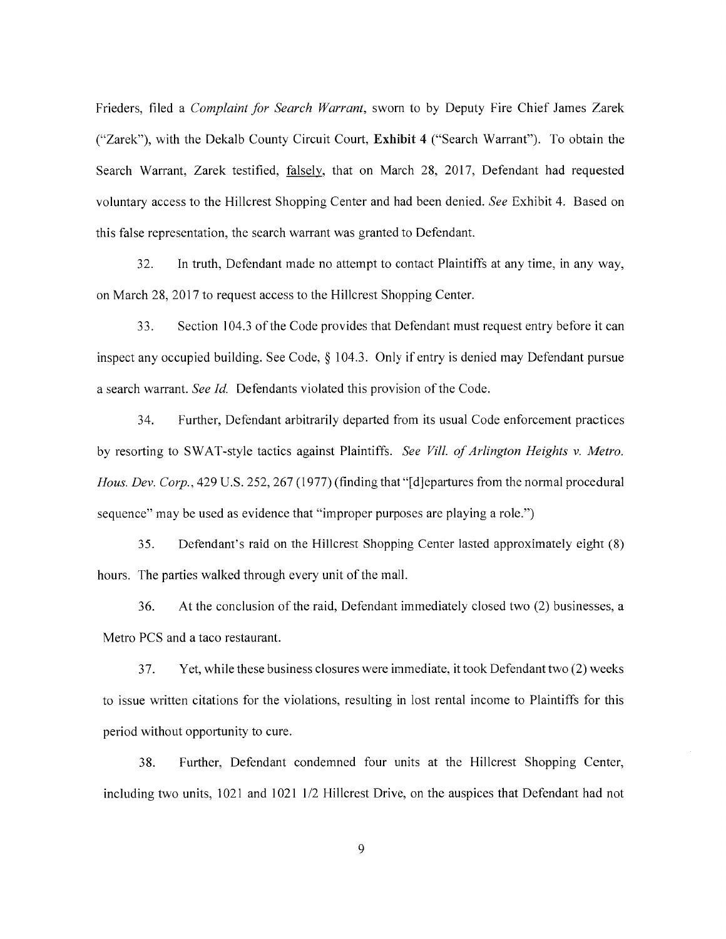Frieders, filed a Complaint for Search Warrant, sworn to by Deputy Fire Chief James Zarek ("Zarek"), with the Dekalb County Circuit Court, Exhibit 4 ("Search Warrant"). To obtain the Search Warrant, Zarek testified, falsely, that on March 28, 2017, Defendant had requested voluntary access to the Hillcrest Shopping Center and had been denied. See Exhibit 4. Based on this false representation, the search warrant was granted to Defendant.

 $32<sub>1</sub>$ In truth, Defendant made no attempt to contact Plaintiffs at any time, in any way, on March 28, 2017 to request access to the Hillcrest Shopping Center.

33. Section 104.3 of the Code provides that Defendant must request entry before it can inspect any occupied building. See Code,  $\S$  104.3. Only if entry is denied may Defendant pursue a search warrant. See Id. Defendants violated this provision of the Code.

34. Further, Defendant arbitrarily departed from its usual Code enforcement practices by resorting to SWAT-style tactics against Plaintiffs. See Vill. of Arlington Heights v. Metro. Hous. Dev. Corp., 429 U.S. 252, 267 (1977) (finding that "[d] epartures from the normal procedural sequence" may be used as evidence that "improper purposes are playing a role.")

35. Defendant's raid on the Hillcrest Shopping Center lasted approximately eight (8) hours. The parties walked through every unit of the mall.

36. At the conclusion of the raid, Defendant immediately closed two (2) businesses, a Metro PCS and a taco restaurant.

37. Yet, while these business closures were immediate, it took Defendant two (2) weeks to issue written citations for the violations, resulting in lost rental income to Plaintiffs for this period without opportunity to cure.

Further, Defendant condemned four units at the Hillcrest Shopping Center, 38. including two units, 1021 and 1021 1/2 Hillcrest Drive, on the auspices that Defendant had not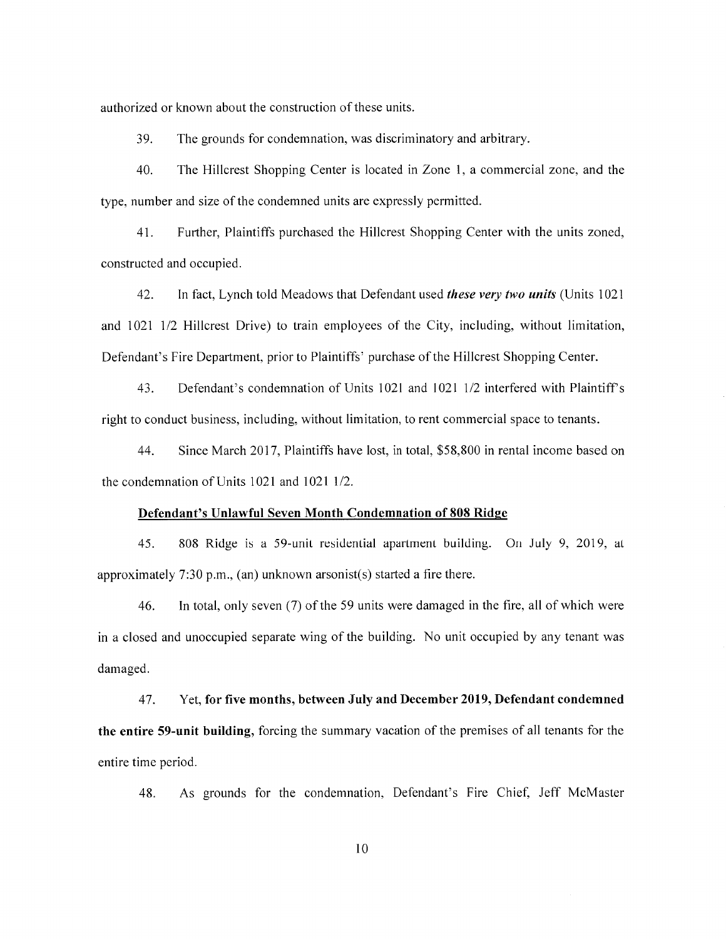authorized or known about the construction of these units.

39. The grounds for condemnation, was discriminatory and arbitrary.

 $40.$ The Hillcrest Shopping Center is located in Zone 1, a commercial zone, and the type, number and size of the condemned units are expressly permitted.

 $41.$ Further, Plaintiffs purchased the Hillcrest Shopping Center with the units zoned, constructed and occupied.

42. In fact, Lynch told Meadows that Defendant used these very two units (Units 1021 and 1021 1/2 Hillcrest Drive) to train employees of the City, including, without limitation, Defendant's Fire Department, prior to Plaintiffs' purchase of the Hillcrest Shopping Center.

43. Defendant's condemnation of Units 1021 and 1021 1/2 interfered with Plaintiff's right to conduct business, including, without limitation, to rent commercial space to tenants.

44. Since March 2017, Plaintiffs have lost, in total, \$58,800 in rental income based on the condemnation of Units 1021 and 1021 1/2.

#### Defendant's Unlawful Seven Month Condemnation of 808 Ridge

45. 808 Ridge is a 59-unit residential apartment building. On July 9, 2019, at approximately 7:30 p.m., (an) unknown arsonist(s) started a fire there.

46. In total, only seven (7) of the 59 units were damaged in the fire, all of which were in a closed and unoccupied separate wing of the building. No unit occupied by any tenant was damaged.

Yet, for five months, between July and December 2019, Defendant condemned 47. the entire 59-unit building, forcing the summary vacation of the premises of all tenants for the entire time period.

As grounds for the condemnation, Defendant's Fire Chief, Jeff McMaster 48.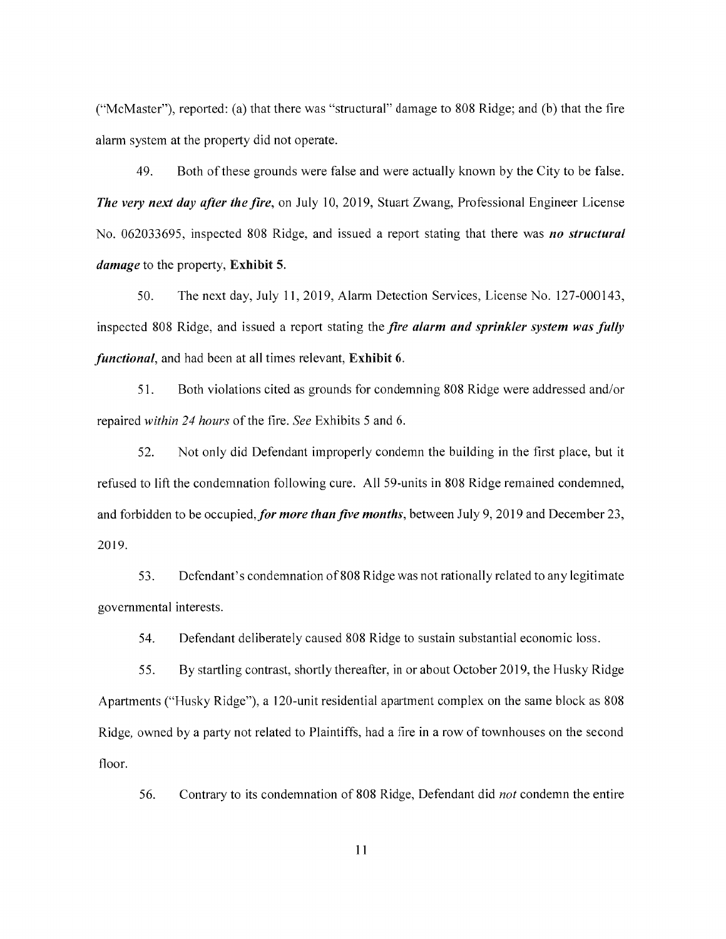("McMaster"), reported: (a) that there was "structural" damage to 808 Ridge; and (b) that the fire alarm system at the property did not operate.

49. Both of these grounds were false and were actually known by the City to be false. The very next day after the fire, on July 10, 2019, Stuart Zwang, Professional Engineer License No. 062033695, inspected 808 Ridge, and issued a report stating that there was no structural *damage* to the property, Exhibit 5.

50. The next day, July 11, 2019, Alarm Detection Services, License No. 127-000143, inspected 808 Ridge, and issued a report stating the fire alarm and sprinkler system was fully *functional*, and had been at all times relevant, Exhibit 6.

 $51.$ Both violations cited as grounds for condemning 808 Ridge were addressed and/or repaired within 24 hours of the fire. See Exhibits 5 and 6.

52. Not only did Defendant improperly condemn the building in the first place, but it refused to lift the condemnation following cure. All 59-units in 808 Ridge remained condemned, and forbidden to be occupied, for more than five months, between July 9, 2019 and December 23, 2019.

53. Defendant's condemnation of 808 Ridge was not rationally related to any legitimate governmental interests.

54. Defendant deliberately caused 808 Ridge to sustain substantial economic loss.

55. By startling contrast, shortly thereafter, in or about October 2019, the Husky Ridge Apartments ("Husky Ridge"), a 120-unit residential apartment complex on the same block as 808 Ridge, owned by a party not related to Plaintiffs, had a fire in a row of townhouses on the second floor.

56. Contrary to its condemnation of 808 Ridge, Defendant did *not* condemn the entire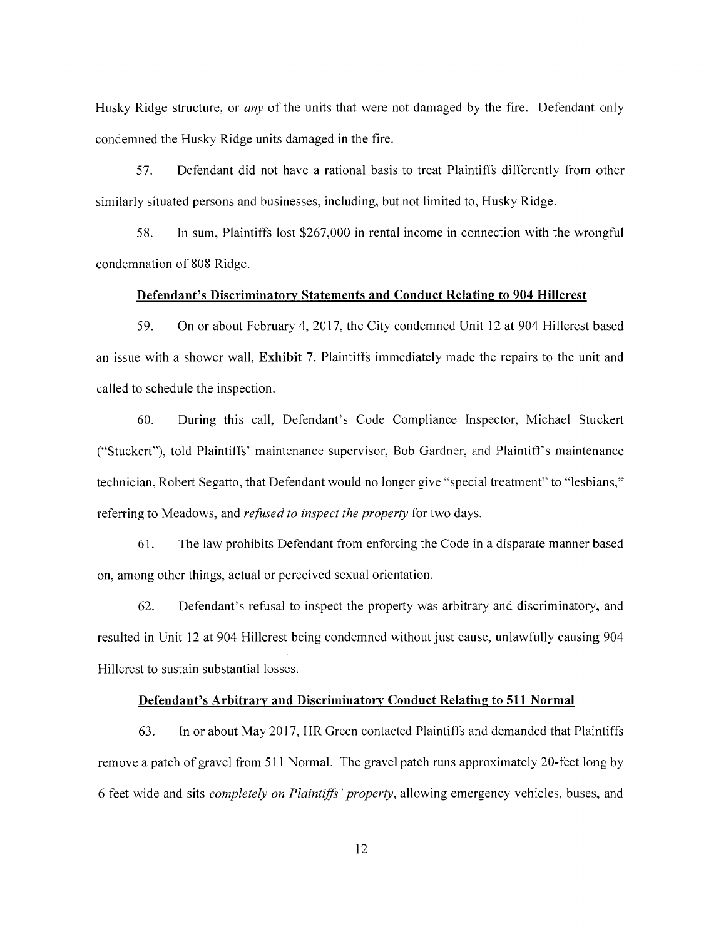Husky Ridge structure, or *any* of the units that were not damaged by the fire. Defendant only condemned the Husky Ridge units damaged in the fire.

57. Defendant did not have a rational basis to treat Plaintiffs differently from other similarly situated persons and businesses, including, but not limited to, Husky Ridge.

58. In sum, Plaintiffs lost \$267,000 in rental income in connection with the wrongful condemnation of 808 Ridge.

## Defendant's Discriminatory Statements and Conduct Relating to 904 Hillcrest

59. On or about February 4, 2017, the City condemned Unit 12 at 904 Hillcrest based an issue with a shower wall, **Exhibit** 7. Plaintiffs immediately made the repairs to the unit and called to schedule the inspection.

During this call, Defendant's Code Compliance Inspector, Michael Stuckert 60. ("Stuckert"), told Plaintiffs' maintenance supervisor, Bob Gardner, and Plaintiff's maintenance technician, Robert Segatto, that Defendant would no longer give "special treatment" to "lesbians," referring to Meadows, and *refused to inspect the property* for two days.

61. The law prohibits Defendant from enforcing the Code in a disparate manner based on, among other things, actual or perceived sexual orientation.

62. Defendant's refusal to inspect the property was arbitrary and discriminatory, and resulted in Unit 12 at 904 Hillcrest being condemned without just cause, unlawfully causing 904 Hillcrest to sustain substantial losses.

#### Defendant's Arbitrary and Discriminatory Conduct Relating to 511 Normal

63. In or about May 2017, HR Green contacted Plaintiffs and demanded that Plaintiffs remove a patch of gravel from 511 Normal. The gravel patch runs approximately 20-feet long by 6 feet wide and sits *completely on Plaintiffs' property*, allowing emergency vehicles, buses, and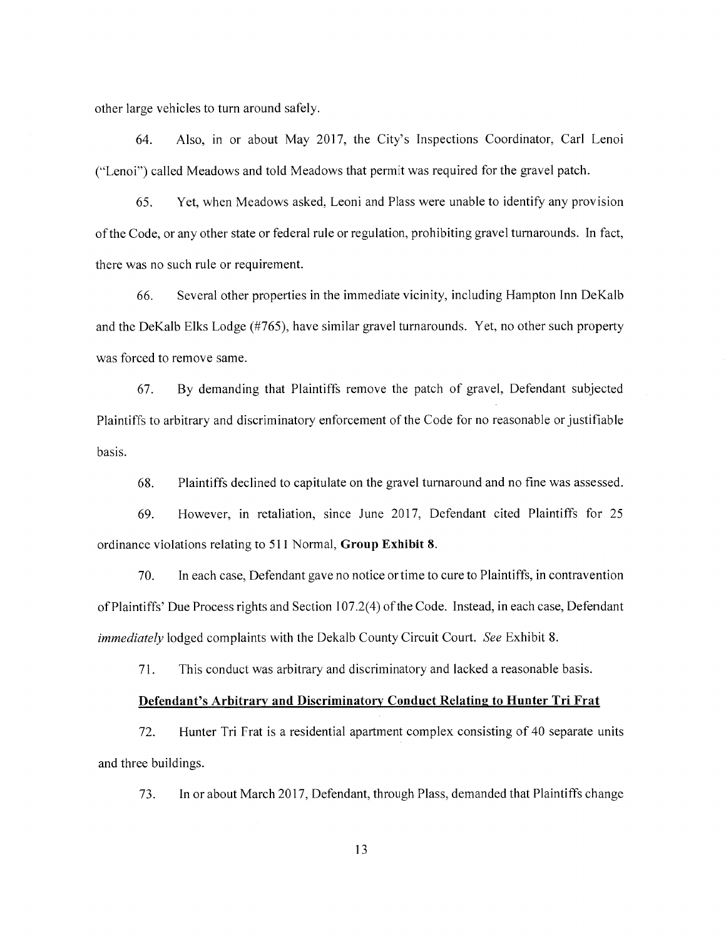other large vehicles to turn around safely.

Also, in or about May 2017, the City's Inspections Coordinator, Carl Lenoi 64. ("Lenoi") called Meadows and told Meadows that permit was required for the gravel patch.

65. Yet, when Meadows asked, Leoni and Plass were unable to identify any provision of the Code, or any other state or federal rule or regulation, prohibiting gravel turnarounds. In fact, there was no such rule or requirement.

Several other properties in the immediate vicinity, including Hampton Inn DeKalb 66. and the DeKalb Elks Lodge (#765), have similar gravel turnarounds. Yet, no other such property was forced to remove same.

By demanding that Plaintiffs remove the patch of gravel, Defendant subjected 67. Plaintiffs to arbitrary and discriminatory enforcement of the Code for no reasonable or justifiable basis.

68. Plaintiffs declined to capitulate on the gravel turnaround and no fine was assessed.

However, in retaliation, since June 2017, Defendant cited Plaintiffs for 25 69. ordinance violations relating to 511 Normal, Group Exhibit 8.

70. In each case, Defendant gave no notice or time to cure to Plaintiffs, in contravention of Plaintiffs' Due Process rights and Section 107.2(4) of the Code. Instead, in each case, Defendant *immediately* lodged complaints with the Dekalb County Circuit Court. See Exhibit 8.

71. This conduct was arbitrary and discriminatory and lacked a reasonable basis.

#### Defendant's Arbitrary and Discriminatory Conduct Relating to Hunter Tri Frat

72. Hunter Tri Frat is a residential apartment complex consisting of 40 separate units and three buildings.

In or about March 2017, Defendant, through Plass, demanded that Plaintiffs change 73.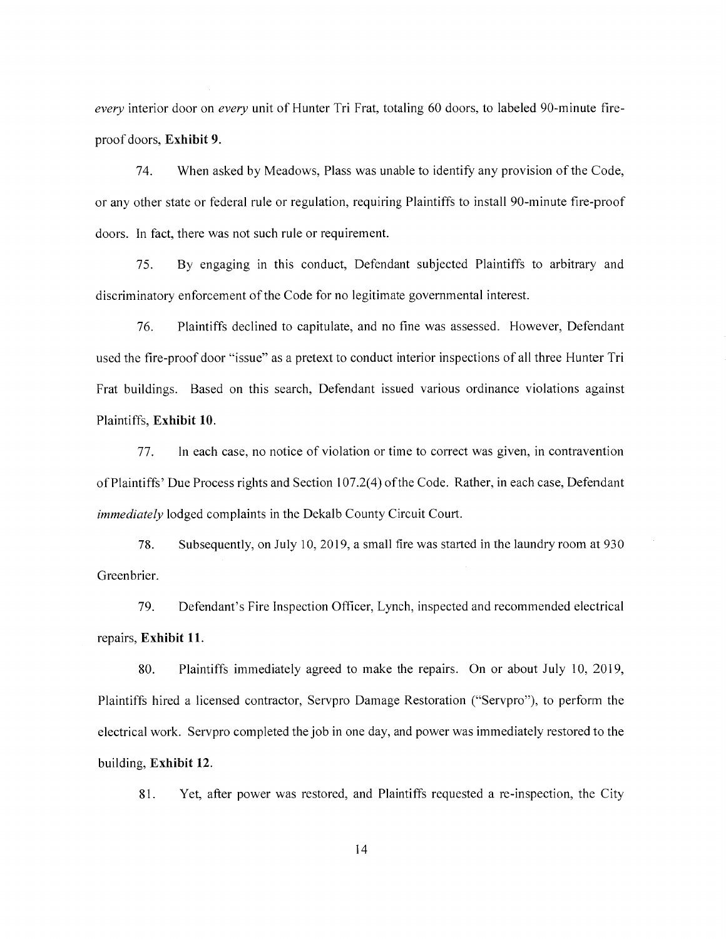every interior door on every unit of Hunter Tri Frat, totaling 60 doors, to labeled 90-minute fireproof doors. Exhibit 9.

74. When asked by Meadows, Plass was unable to identify any provision of the Code, or any other state or federal rule or regulation, requiring Plaintiffs to install 90-minute fire-proof doors. In fact, there was not such rule or requirement.

By engaging in this conduct, Defendant subjected Plaintiffs to arbitrary and 75. discriminatory enforcement of the Code for no legitimate governmental interest.

Plaintiffs declined to capitulate, and no fine was assessed. However, Defendant 76. used the fire-proof door "issue" as a pretext to conduct interior inspections of all three Hunter Tri Frat buildings. Based on this search, Defendant issued various ordinance violations against Plaintiffs, Exhibit 10.

77. In each case, no notice of violation or time to correct was given, in contravention of Plaintiffs' Due Process rights and Section 107.2(4) of the Code. Rather, in each case, Defendant *immediately* lodged complaints in the Dekalb County Circuit Court.

78. Subsequently, on July 10, 2019, a small fire was started in the laundry room at 930 Greenbrier.

79. Defendant's Fire Inspection Officer, Lynch, inspected and recommended electrical repairs, Exhibit 11.

Plaintiffs immediately agreed to make the repairs. On or about July 10, 2019, 80. Plaintiffs hired a licensed contractor, Servpro Damage Restoration ("Servpro"), to perform the electrical work. Servpro completed the job in one day, and power was immediately restored to the building, Exhibit 12.

Yet, after power was restored, and Plaintiffs requested a re-inspection, the City 81.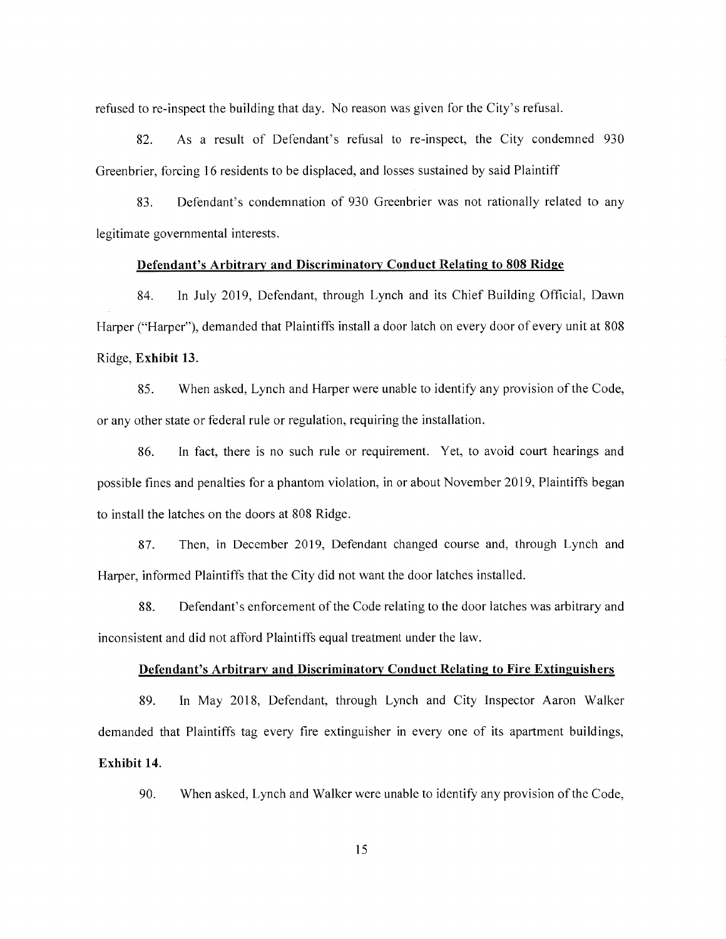refused to re-inspect the building that day. No reason was given for the City's refusal.

82. As a result of Defendant's refusal to re-inspect, the City condemned 930 Greenbrier, forcing 16 residents to be displaced, and losses sustained by said Plaintiff

83. Defendant's condemnation of 930 Greenbrier was not rationally related to any legitimate governmental interests.

#### Defendant's Arbitrary and Discriminatory Conduct Relating to 808 Ridge

84. In July 2019, Defendant, through Lynch and its Chief Building Official, Dawn Harper ("Harper"), demanded that Plaintiffs install a door latch on every door of every unit at 808 Ridge, Exhibit 13.

85. When asked, Lynch and Harper were unable to identify any provision of the Code, or any other state or federal rule or regulation, requiring the installation.

86. In fact, there is no such rule or requirement. Yet, to avoid court hearings and possible fines and penalties for a phantom violation, in or about November 2019, Plaintiffs began to install the latches on the doors at 808 Ridge.

Then, in December 2019, Defendant changed course and, through Lynch and 87. Harper, informed Plaintiffs that the City did not want the door latches installed.

88. Defendant's enforcement of the Code relating to the door latches was arbitrary and inconsistent and did not afford Plaintiffs equal treatment under the law.

#### Defendant's Arbitrary and Discriminatory Conduct Relating to Fire Extinguishers

89. In May 2018, Defendant, through Lynch and City Inspector Aaron Walker demanded that Plaintiffs tag every fire extinguisher in every one of its apartment buildings, Exhibit 14.

90. When asked, Lynch and Walker were unable to identify any provision of the Code,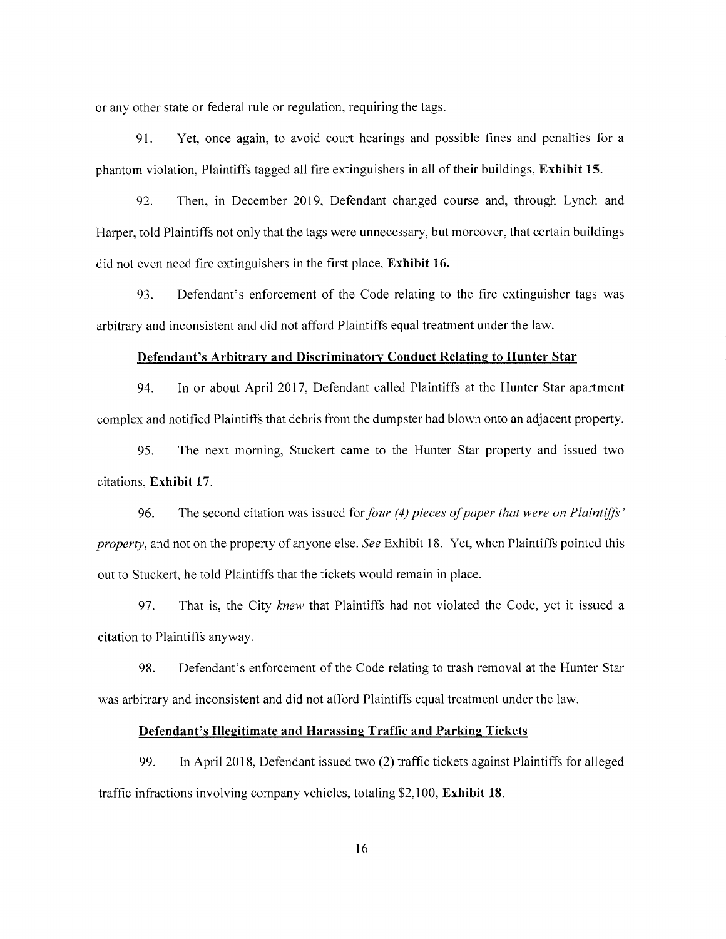or any other state or federal rule or regulation, requiring the tags.

Yet, once again, to avoid court hearings and possible fines and penalties for a 91. phantom violation, Plaintiffs tagged all fire extinguishers in all of their buildings, Exhibit 15.

92. Then, in December 2019, Defendant changed course and, through Lynch and Harper, told Plaintiffs not only that the tags were unnecessary, but moreover, that certain buildings did not even need fire extinguishers in the first place, Exhibit 16.

93. Defendant's enforcement of the Code relating to the fire extinguisher tags was arbitrary and inconsistent and did not afford Plaintiffs equal treatment under the law.

#### Defendant's Arbitrary and Discriminatory Conduct Relating to Hunter Star

94. In or about April 2017, Defendant called Plaintiffs at the Hunter Star apartment complex and notified Plaintiffs that debris from the dumpster had blown onto an adjacent property.

95. The next morning, Stuckert came to the Hunter Star property and issued two citations, Exhibit 17.

The second citation was issued for four (4) pieces of paper that were on Plaintiffs' 96. *property*, and not on the property of anyone else. See Exhibit 18. Yet, when Plaintiffs pointed this out to Stuckert, he told Plaintiffs that the tickets would remain in place.

That is, the City knew that Plaintiffs had not violated the Code, yet it issued a 97. citation to Plaintiffs anyway.

98. Defendant's enforcement of the Code relating to trash removal at the Hunter Star was arbitrary and inconsistent and did not afford Plaintiffs equal treatment under the law.

#### Defendant's Illegitimate and Harassing Traffic and Parking Tickets

99. In April 2018, Defendant issued two (2) traffic tickets against Plaintiffs for alleged traffic infractions involving company vehicles, totaling \$2,100, Exhibit 18.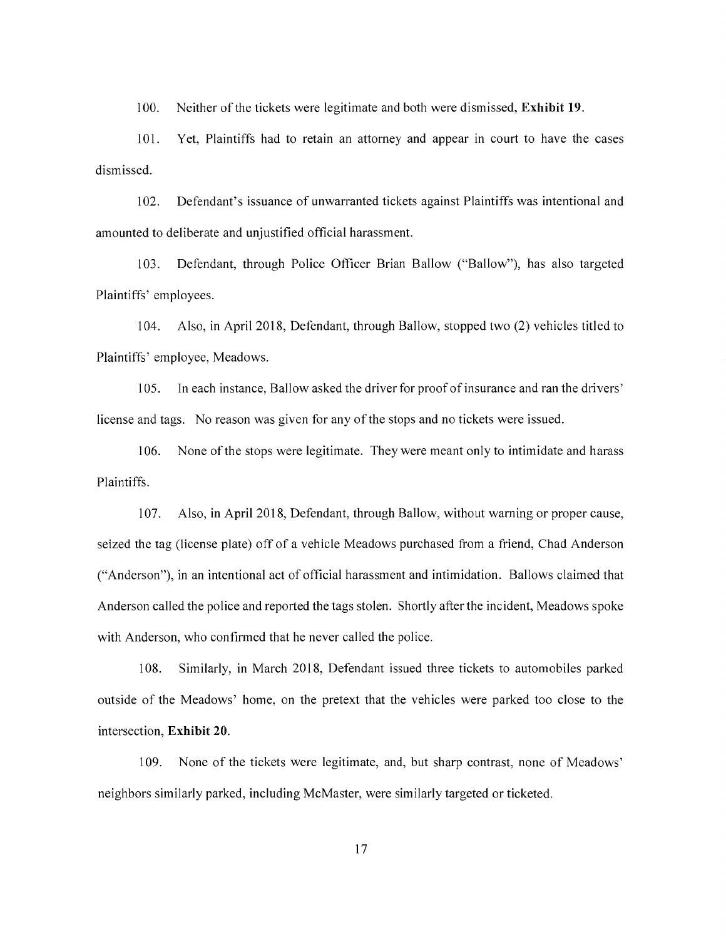$100.$ Neither of the tickets were legitimate and both were dismissed, Exhibit 19.

101. Yet. Plaintiffs had to retain an attorney and appear in court to have the cases dismissed.

Defendant's issuance of unwarranted tickets against Plaintiffs was intentional and  $102.$ amounted to deliberate and unjustified official harassment.

Defendant, through Police Officer Brian Ballow ("Ballow"), has also targeted  $103.$ Plaintiffs' employees.

104. Also, in April 2018, Defendant, through Ballow, stopped two (2) vehicles titled to Plaintiffs' employee, Meadows.

In each instance, Ballow asked the driver for proof of insurance and ran the drivers' 105. license and tags. No reason was given for any of the stops and no tickets were issued.

None of the stops were legitimate. They were meant only to intimidate and harass 106. Plaintiffs.

Also, in April 2018, Defendant, through Ballow, without warning or proper cause,  $107.$ seized the tag (license plate) off of a vehicle Meadows purchased from a friend, Chad Anderson ("Anderson"), in an intentional act of official harassment and intimidation. Ballows claimed that Anderson called the police and reported the tags stolen. Shortly after the incident, Meadows spoke with Anderson, who confirmed that he never called the police.

108. Similarly, in March 2018, Defendant issued three tickets to automobiles parked outside of the Meadows' home, on the pretext that the vehicles were parked too close to the intersection, Exhibit 20.

None of the tickets were legitimate, and, but sharp contrast, none of Meadows' 109. neighbors similarly parked, including McMaster, were similarly targeted or ticketed.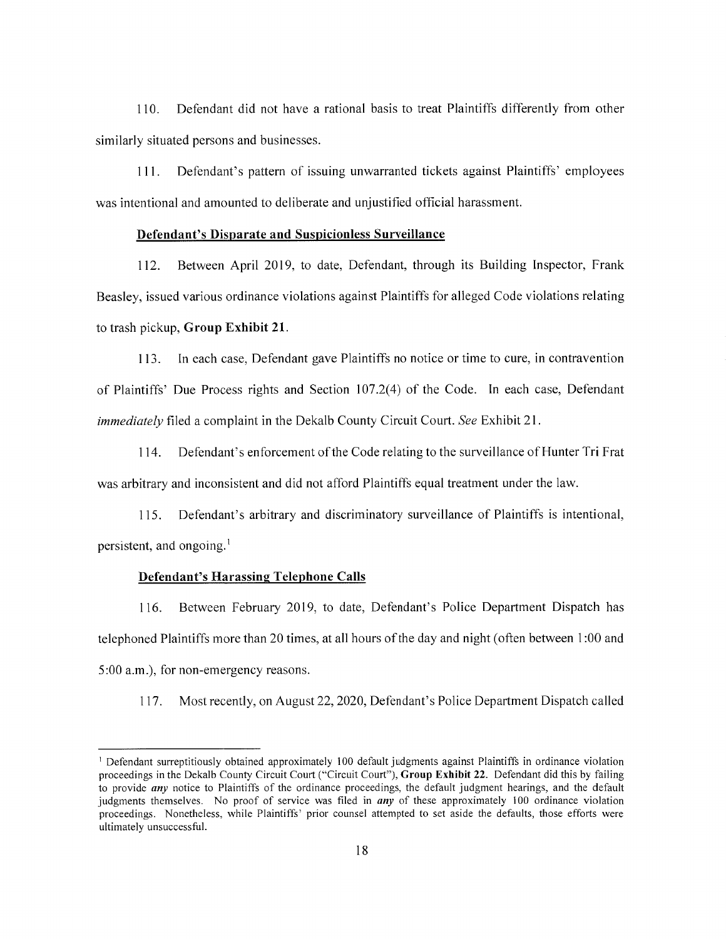Defendant did not have a rational basis to treat Plaintiffs differently from other  $110.$ similarly situated persons and businesses.

Defendant's pattern of issuing unwarranted tickets against Plaintiffs' employees  $111.$ was intentional and amounted to deliberate and unjustified official harassment.

#### Defendant's Disparate and Suspicionless Surveillance

Between April 2019, to date, Defendant, through its Building Inspector, Frank 112. Beasley, issued various ordinance violations against Plaintiffs for alleged Code violations relating to trash pickup, Group Exhibit 21.

In each case, Defendant gave Plaintiffs no notice or time to cure, in contravention 113. of Plaintiffs' Due Process rights and Section 107.2(4) of the Code. In each case, Defendant *immediately* filed a complaint in the Dekalb County Circuit Court. See Exhibit 21.

Defendant's enforcement of the Code relating to the surveillance of Hunter Tri Frat 114. was arbitrary and inconsistent and did not afford Plaintiffs equal treatment under the law.

 $115.$ Defendant's arbitrary and discriminatory surveillance of Plaintiffs is intentional, persistent, and ongoing.<sup>1</sup>

#### **Defendant's Harassing Telephone Calls**

Between February 2019, to date, Defendant's Police Department Dispatch has 116. telephoned Plaintiffs more than 20 times, at all hours of the day and night (often between 1:00 and 5:00 a.m.), for non-emergency reasons.

Most recently, on August 22, 2020, Defendant's Police Department Dispatch called  $117.$ 

<sup>&</sup>lt;sup>1</sup> Defendant surreptitiously obtained approximately 100 default judgments against Plaintiffs in ordinance violation proceedings in the Dekalb County Circuit Court ("Circuit Court"), Group Exhibit 22. Defendant did this by failing to provide *any* notice to Plaintiffs of the ordinance proceedings, the default judgment hearings, and the default judgments themselves. No proof of service was filed in *any* of these approximately 100 ordinance violation proceedings. Nonetheless, while Plaintiffs' prior counsel attempted to set aside the defaults, those efforts were ultimately unsuccessful.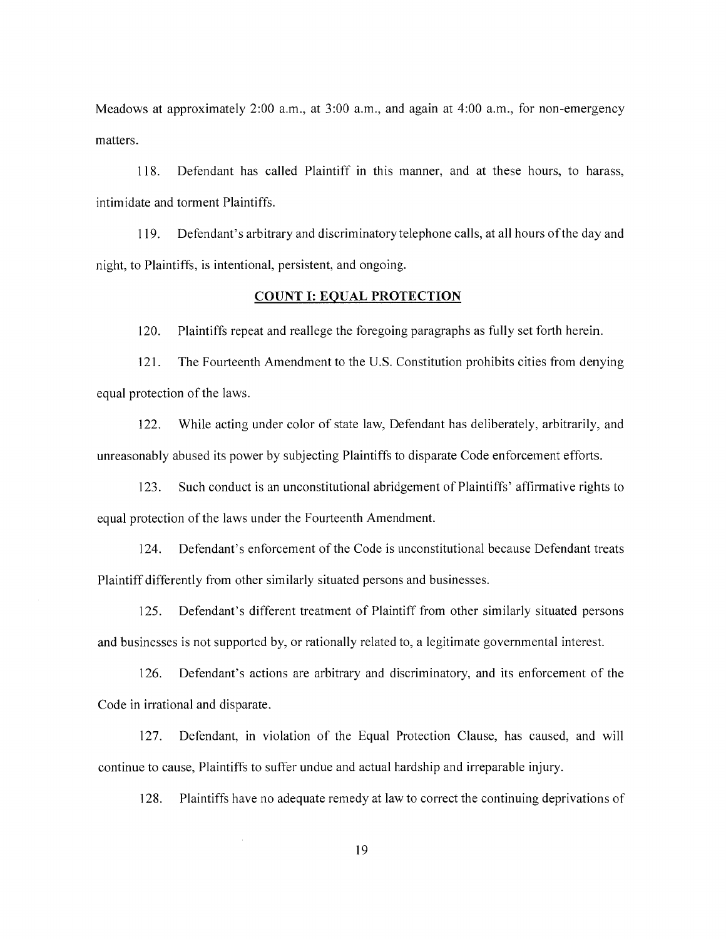Meadows at approximately 2:00 a.m., at 3:00 a.m., and again at 4:00 a.m., for non-emergency matters.

Defendant has called Plaintiff in this manner, and at these hours, to harass, 118. intimidate and torment Plaintiffs.

Defendant's arbitrary and discriminatory telephone calls, at all hours of the day and 119. night, to Plaintiffs, is intentional, persistent, and ongoing.

#### **COUNT I: EQUAL PROTECTION**

Plaintiffs repeat and reallege the foregoing paragraphs as fully set forth herein. 120.

The Fourteenth Amendment to the U.S. Constitution prohibits cities from denying  $121.$ equal protection of the laws.

122. While acting under color of state law, Defendant has deliberately, arbitrarily, and unreasonably abused its power by subjecting Plaintiffs to disparate Code enforcement efforts.

Such conduct is an unconstitutional abridgement of Plaintiffs' affirmative rights to  $123.$ equal protection of the laws under the Fourteenth Amendment.

124. Defendant's enforcement of the Code is unconstitutional because Defendant treats Plaintiff differently from other similarly situated persons and businesses.

Defendant's different treatment of Plaintiff from other similarly situated persons  $125.$ and businesses is not supported by, or rationally related to, a legitimate governmental interest.

Defendant's actions are arbitrary and discriminatory, and its enforcement of the 126. Code in irrational and disparate.

127. Defendant, in violation of the Equal Protection Clause, has caused, and will continue to cause, Plaintiffs to suffer undue and actual hardship and irreparable injury.

Plaintiffs have no adequate remedy at law to correct the continuing deprivations of 128.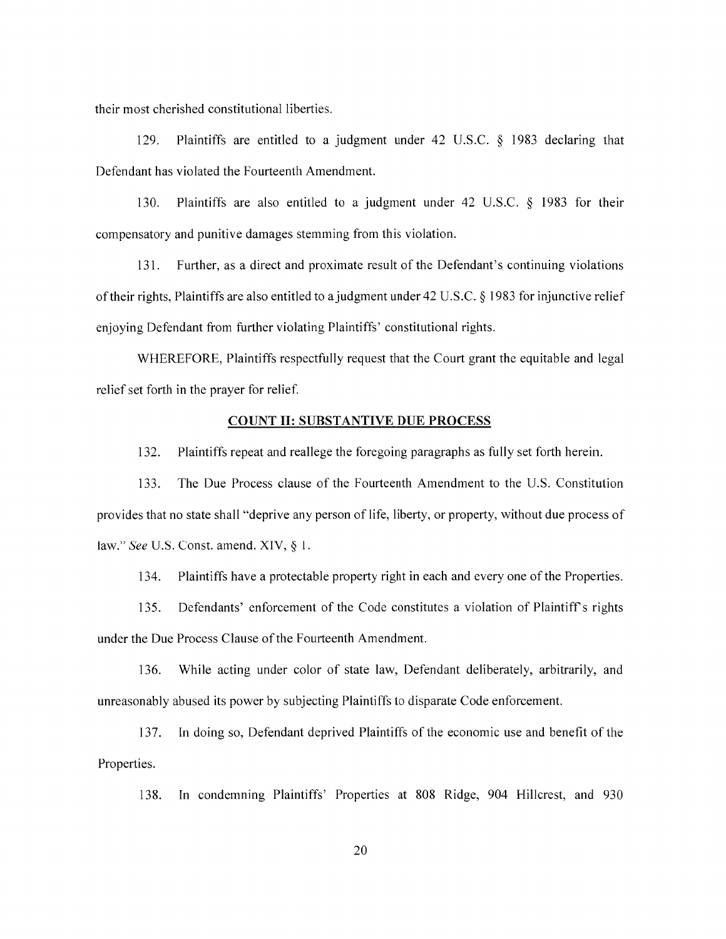their most cherished constitutional liberties.

Plaintiffs are entitled to a judgment under 42 U.S.C.  $\&$  1983 declaring that 129. Defendant has violated the Fourteenth Amendment.

130. Plaintiffs are also entitled to a judgment under 42 U.S.C. § 1983 for their compensatory and punitive damages stemming from this violation.

Further, as a direct and proximate result of the Defendant's continuing violations  $131.$ of their rights, Plaintiffs are also entitled to a judgment under 42 U.S.C. § 1983 for injunctive relief enjoying Defendant from further violating Plaintiffs' constitutional rights.

WHEREFORE, Plaintiffs respectfully request that the Court grant the equitable and legal relief set forth in the prayer for relief.

#### **COUNT II: SUBSTANTIVE DUE PROCESS**

132. Plaintiffs repeat and reallege the foregoing paragraphs as fully set forth herein.

133. The Due Process clause of the Fourteenth Amendment to the U.S. Constitution provides that no state shall "deprive any person of life, liberty, or property, without due process of law." See U.S. Const. amend. XIV,  $\S$  1.

Plaintiffs have a protectable property right in each and every one of the Properties.  $134.$ 

Defendants' enforcement of the Code constitutes a violation of Plaintiff's rights 135. under the Due Process Clause of the Fourteenth Amendment.

While acting under color of state law, Defendant deliberately, arbitrarily, and 136. unreasonably abused its power by subjecting Plaintiffs to disparate Code enforcement.

In doing so, Defendant deprived Plaintiffs of the economic use and benefit of the 137. Properties.

In condemning Plaintiffs' Properties at 808 Ridge, 904 Hillcrest, and 930 138.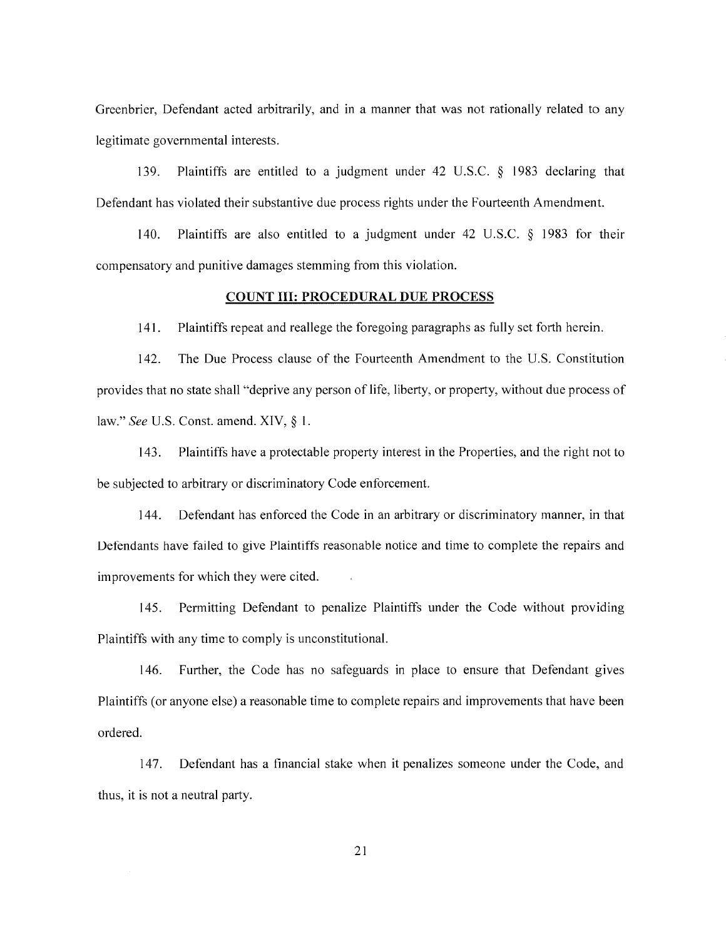Greenbrier, Defendant acted arbitrarily, and in a manner that was not rationally related to any legitimate governmental interests.

Plaintiffs are entitled to a judgment under 42 U.S.C.  $\delta$  1983 declaring that 139. Defendant has violated their substantive due process rights under the Fourteenth Amendment.

140. Plaintiffs are also entitled to a judgment under 42 U.S.C.  $\S$  1983 for their compensatory and punitive damages stemming from this violation.

#### **COUNT III: PROCEDURAL DUE PROCESS**

141. Plaintiffs repeat and reallege the foregoing paragraphs as fully set forth herein.

142. The Due Process clause of the Fourteenth Amendment to the U.S. Constitution provides that no state shall "deprive any person of life, liberty, or property, without due process of law." See U.S. Const. amend. XIV, § 1.

143. Plaintiffs have a protectable property interest in the Properties, and the right not to be subjected to arbitrary or discriminatory Code enforcement.

 $144.$ Defendant has enforced the Code in an arbitrary or discriminatory manner, in that Defendants have failed to give Plaintiffs reasonable notice and time to complete the repairs and improvements for which they were cited.

Permitting Defendant to penalize Plaintiffs under the Code without providing 145. Plaintiffs with any time to comply is unconstitutional.

Further, the Code has no safeguards in place to ensure that Defendant gives 146. Plaintiffs (or anyone else) a reasonable time to complete repairs and improvements that have been ordered.

Defendant has a financial stake when it penalizes someone under the Code, and 147. thus, it is not a neutral party.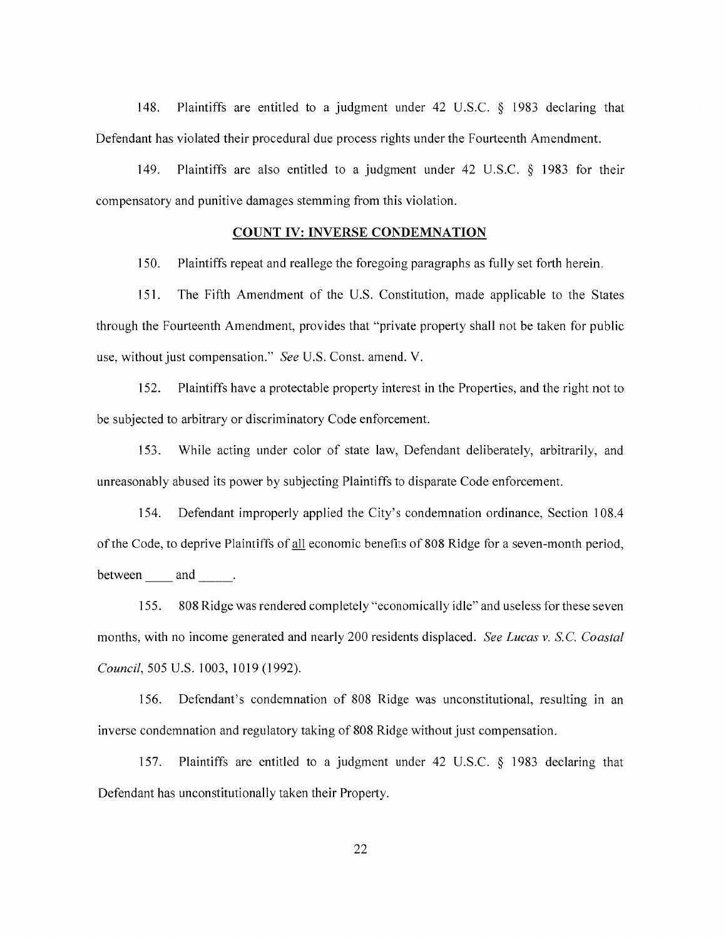148. Plaintiffs are entitled to a judgment under 42 U.S.C.  $\&$  1983 declaring that Defendant has violated their procedural due process rights under the Fourteenth Amendment.

149. Plaintiffs are also entitled to a judgment under 42 U.S.C. § 1983 for their compensatory and punitive damages stemming from this violation.

#### **COUNT IV: INVERSE CONDEMNATION**

150. Plaintiffs repeat and reallege the foregoing paragraphs as fully set forth herein.

 $151.$ The Fifth Amendment of the U.S. Constitution, made applicable to the States through the Fourteenth Amendment, provides that "private property shall not be taken for public use, without just compensation." See U.S. Const. amend. V.

Plaintiffs have a protectable property interest in the Properties, and the right not to 152. be subjected to arbitrary or discriminatory Code enforcement.

153. While acting under color of state law, Defendant deliberately, arbitrarily, and unreasonably abused its power by subjecting Plaintiffs to disparate Code enforcement.

Defendant improperly applied the City's condemnation ordinance, Section 108.4 154. of the Code, to deprive Plaintiffs of all economic benefits of 808 Ridge for a seven-month period, between and .

808 Ridge was rendered completely "economically idle" and useless for these seven 155. months, with no income generated and nearly 200 residents displaced. See Lucas v. S.C. Coastal Council, 505 U.S. 1003, 1019 (1992).

Defendant's condemnation of 808 Ridge was unconstitutional, resulting in an 156. inverse condemnation and regulatory taking of 808 Ridge without just compensation.

157. Plaintiffs are entitled to a judgment under 42 U.S.C.  $\S$  1983 declaring that Defendant has unconstitutionally taken their Property.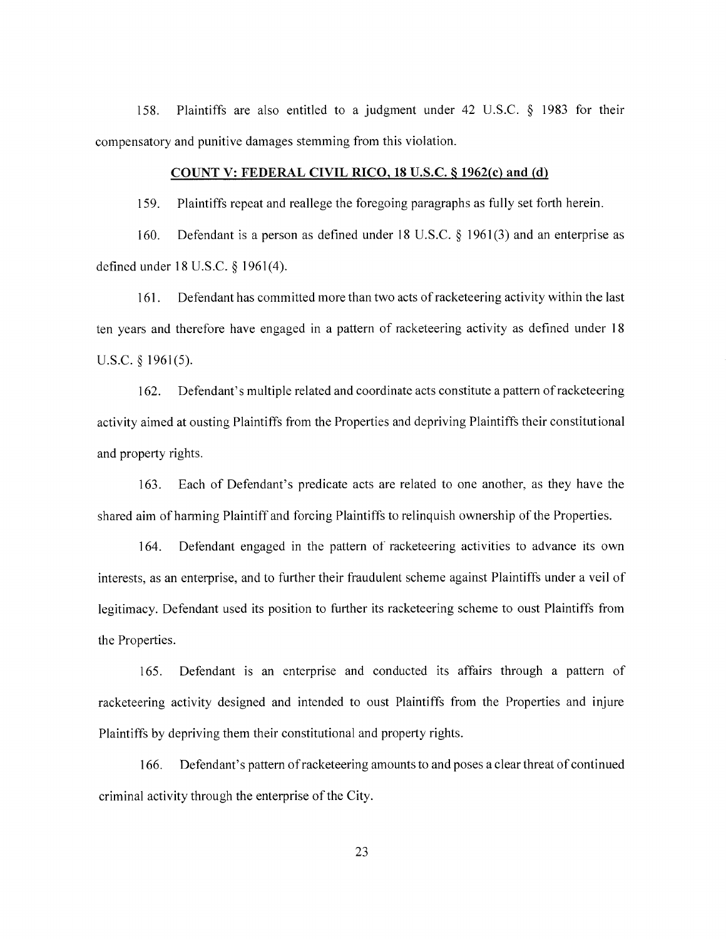158. Plaintiffs are also entitled to a judgment under 42 U.S.C.  $\&$  1983 for their compensatory and punitive damages stemming from this violation.

#### COUNT V: FEDERAL CIVIL RICO, 18 U.S.C. § 1962(c) and (d)

Plaintiffs repeat and reallege the foregoing paragraphs as fully set forth herein. 159.

Defendant is a person as defined under 18 U.S.C.  $\S$  1961(3) and an enterprise as  $160.$ defined under 18 U.S.C. § 1961(4).

Defendant has committed more than two acts of racketeering activity within the last  $161.$ ten years and therefore have engaged in a pattern of racketeering activity as defined under 18 U.S.C.  $\{1961(5)$ .

Defendant's multiple related and coordinate acts constitute a pattern of racketeering  $162.$ activity aimed at ousting Plaintiffs from the Properties and depriving Plaintiffs their constitutional and property rights.

Each of Defendant's predicate acts are related to one another, as they have the 163. shared aim of harming Plaintiff and forcing Plaintiffs to relinguish ownership of the Properties.

164. Defendant engaged in the pattern of racketeering activities to advance its own interests, as an enterprise, and to further their fraudulent scheme against Plaintiffs under a veil of legitimacy. Defendant used its position to further its racketeering scheme to oust Plaintiffs from the Properties.

165. Defendant is an enterprise and conducted its affairs through a pattern of racketeering activity designed and intended to oust Plaintiffs from the Properties and injure Plaintiffs by depriving them their constitutional and property rights.

166. Defendant's pattern of racketeering amounts to and poses a clear threat of continued criminal activity through the enterprise of the City.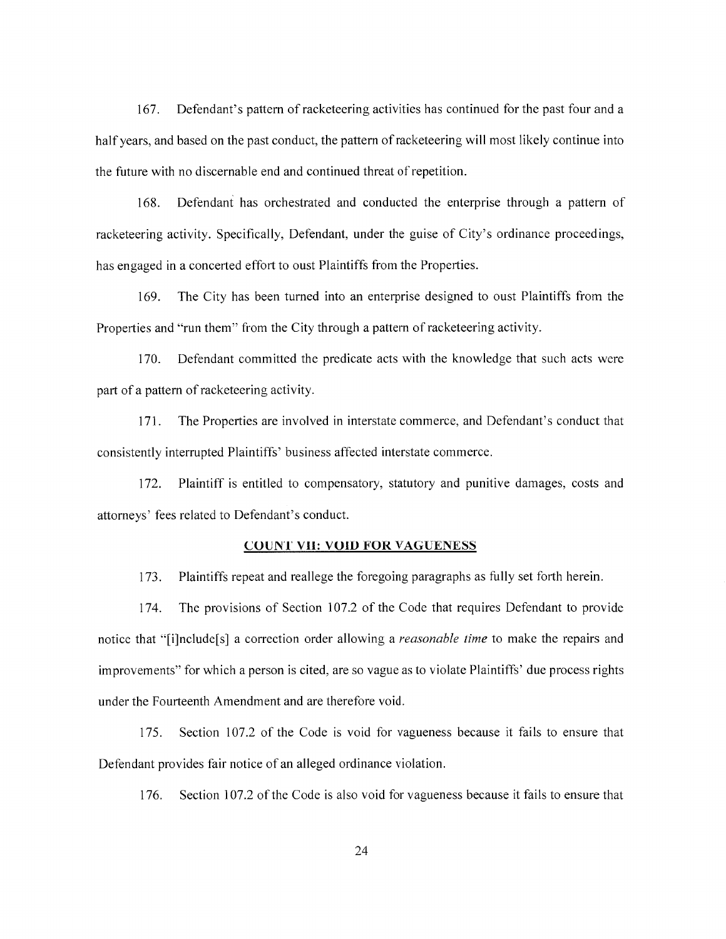Defendant's pattern of racketeering activities has continued for the past four and a  $167.$ half years, and based on the past conduct, the pattern of racketeering will most likely continue into the future with no discernable end and continued threat of repetition.

Defendant has orchestrated and conducted the enterprise through a pattern of 168. racketeering activity. Specifically, Defendant, under the guise of City's ordinance proceedings, has engaged in a concerted effort to oust Plaintiffs from the Properties.

The City has been turned into an enterprise designed to oust Plaintiffs from the 169. Properties and "run them" from the City through a pattern of racketeering activity.

170. Defendant committed the predicate acts with the knowledge that such acts were part of a pattern of racketeering activity.

The Properties are involved in interstate commerce, and Defendant's conduct that  $171.$ consistently interrupted Plaintiffs' business affected interstate commerce.

Plaintiff is entitled to compensatory, statutory and punitive damages, costs and 172. attorneys' fees related to Defendant's conduct.

#### **COUNT VII: VOID FOR VAGUENESS**

Plaintiffs repeat and reallege the foregoing paragraphs as fully set forth herein.  $173.$ 

The provisions of Section 107.2 of the Code that requires Defendant to provide 174. notice that "[i]nclude[s] a correction order allowing a *reasonable time* to make the repairs and improvements" for which a person is cited, are so vague as to violate Plaintiffs' due process rights under the Fourteenth Amendment and are therefore void.

Section 107.2 of the Code is void for vagueness because it fails to ensure that 175. Defendant provides fair notice of an alleged ordinance violation.

Section 107.2 of the Code is also void for vagueness because it fails to ensure that 176.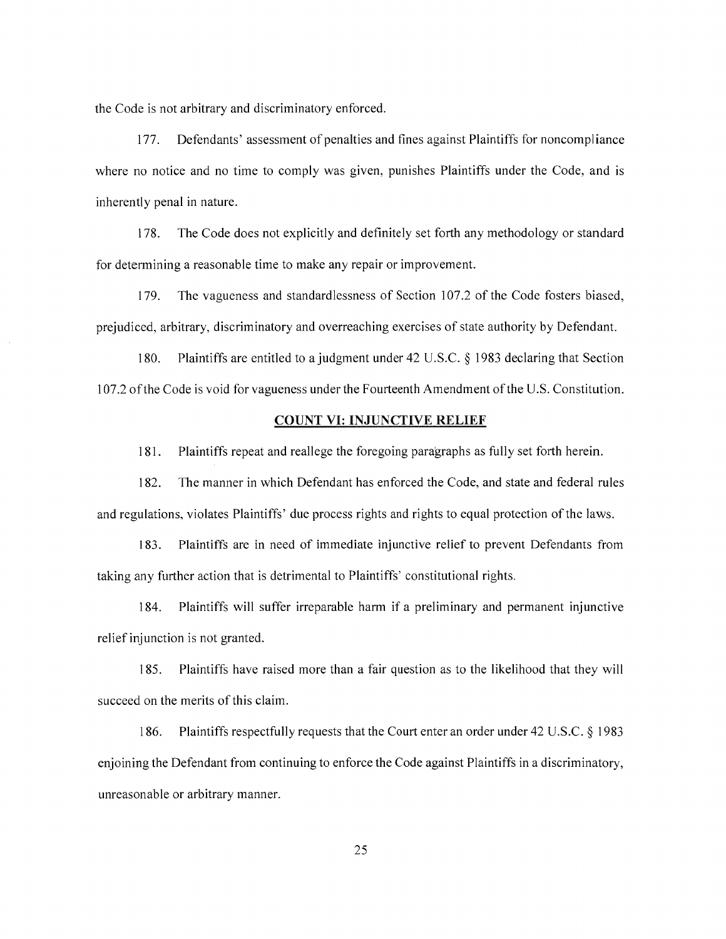the Code is not arbitrary and discriminatory enforced.

Defendants' assessment of penalties and fines against Plaintiffs for noncompliance 177. where no notice and no time to comply was given, punishes Plaintiffs under the Code, and is inherently penal in nature.

The Code does not explicitly and definitely set forth any methodology or standard 178. for determining a reasonable time to make any repair or improvement.

179. The vagueness and standardlessness of Section 107.2 of the Code fosters biased, prejudiced, arbitrary, discriminatory and overreaching exercises of state authority by Defendant.

180. Plaintiffs are entitled to a judgment under 42 U.S.C. § 1983 declaring that Section 107.2 of the Code is void for vagueness under the Fourteenth Amendment of the U.S. Constitution.

#### **COUNT VI: INJUNCTIVE RELIEF**

Plaintiffs repeat and reallege the foregoing paragraphs as fully set forth herein. 181.

182. The manner in which Defendant has enforced the Code, and state and federal rules and regulations, violates Plaintiffs' due process rights and rights to equal protection of the laws.

183. Plaintiffs are in need of immediate injunctive relief to prevent Defendants from taking any further action that is detrimental to Plaintiffs' constitutional rights.

184. Plaintiffs will suffer irreparable harm if a preliminary and permanent injunctive relief injunction is not granted.

Plaintiffs have raised more than a fair question as to the likelihood that they will 185. succeed on the merits of this claim.

Plaintiffs respectfully requests that the Court enter an order under 42 U.S.C. § 1983 186. enjoining the Defendant from continuing to enforce the Code against Plaintiffs in a discriminatory, unreasonable or arbitrary manner.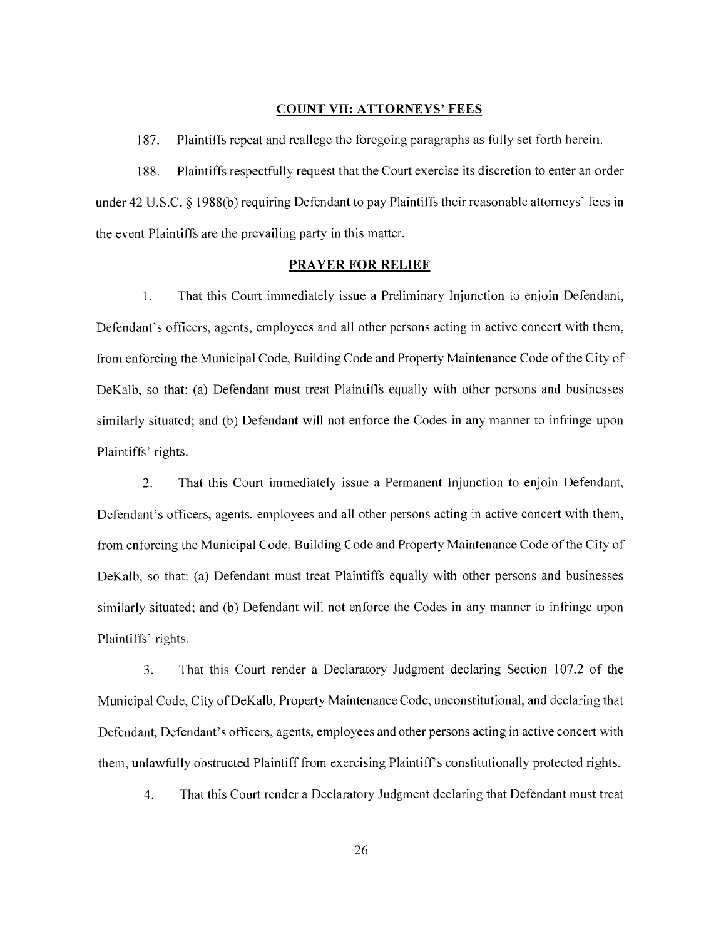#### **COUNT VII: ATTORNEYS' FEES**

187. Plaintiffs repeat and reallege the foregoing paragraphs as fully set forth herein.

Plaintiffs respectfully request that the Court exercise its discretion to enter an order 188. under 42 U.S.C.  $\S$  1988(b) requiring Defendant to pay Plaintiffs their reasonable attorneys' fees in the event Plaintiffs are the prevailing party in this matter.

#### **PRAYER FOR RELIEF**

That this Court immediately issue a Preliminary Injunction to enjoin Defendant,  $1<sub>1</sub>$ Defendant's officers, agents, employees and all other persons acting in active concert with them, from enforcing the Municipal Code, Building Code and Property Maintenance Code of the City of DeKalb, so that: (a) Defendant must treat Plaintiffs equally with other persons and businesses similarly situated; and (b) Defendant will not enforce the Codes in any manner to infringe upon Plaintiffs' rights.

 $\overline{2}$ . That this Court immediately issue a Permanent Injunction to enjoin Defendant, Defendant's officers, agents, employees and all other persons acting in active concert with them, from enforcing the Municipal Code, Building Code and Property Maintenance Code of the City of DeKalb, so that: (a) Defendant must treat Plaintiffs equally with other persons and businesses similarly situated; and (b) Defendant will not enforce the Codes in any manner to infringe upon Plaintiffs' rights.

That this Court render a Declaratory Judgment declaring Section 107.2 of the 3. Municipal Code, City of DeKalb, Property Maintenance Code, unconstitutional, and declaring that Defendant, Defendant's officers, agents, employees and other persons acting in active concert with them, unlawfully obstructed Plaintiff from exercising Plaintiff's constitutionally protected rights.

 $\overline{4}$ . That this Court render a Declaratory Judgment declaring that Defendant must treat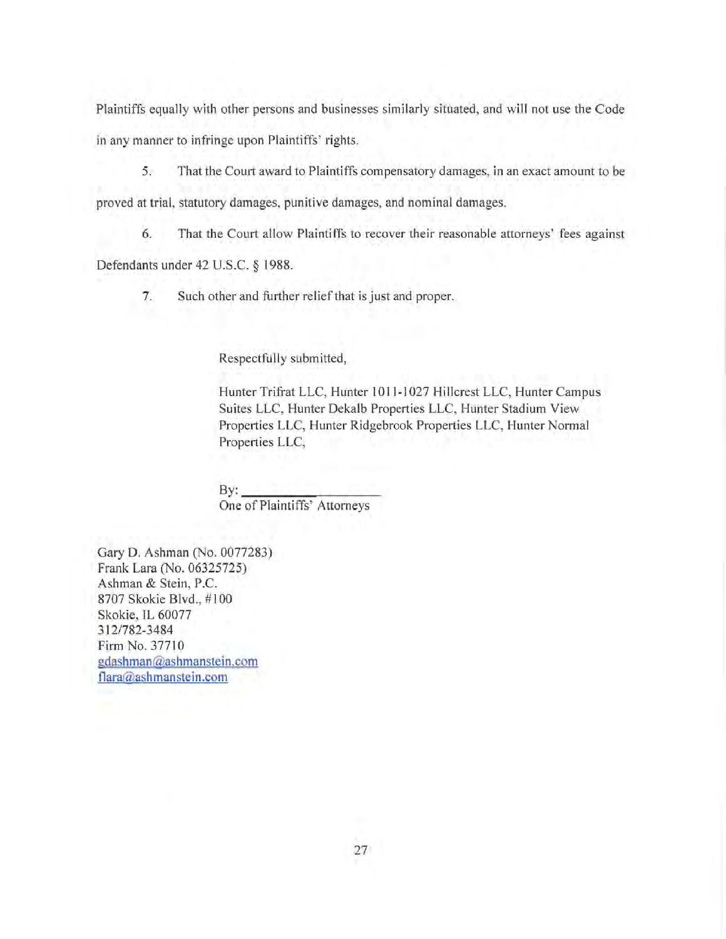Plaintiffs equally with other persons and businesses similarly situated, and will not use the Code in any manner to infringe upon Plaintiffs' rights.

5. That the Court award to Plaintiffs compensatory damages, in an exact amount to be proved at trial, statutory damages, punitive damages, and nominal damages.

That the Court allow Plaintiffs to recover their reasonable attorneys' fees against 6.

Defendants under 42 U.S.C. § 1988.

7. Such other and further relief that is just and proper.

Respectfully submitted,

Hunter Trifrat LLC, Hunter 1011-1027 Hillcrest LLC, Hunter Campus Suites LLC, Hunter Dekalb Properties LLC, Hunter Stadium View Properties LLC, Hunter Ridgebrook Properties LLC, Hunter Normal Properties LLC,

 $By:$ One of Plaintiffs' Attorneys

Gary D. Ashman (No. 0077283) Frank Lara (No. 06325725) Ashman & Stein, P.C. 8707 Skokie Blvd., #100 Skokie, IL 60077 312/782-3484 Firm No. 37710 gdashman@ashmanstein.com flara@ashmanstein.com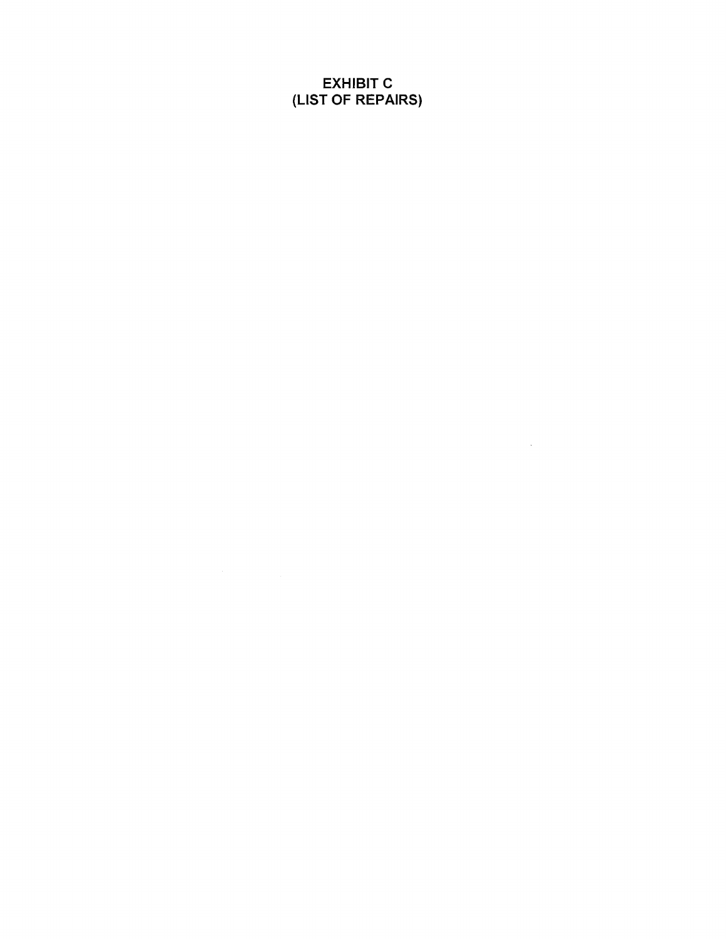**EXHIBIT C** (LIST OF REPAIRS)

 $\mathcal{L}^{\text{max}}_{\text{max}}$  and  $\mathcal{L}^{\text{max}}_{\text{max}}$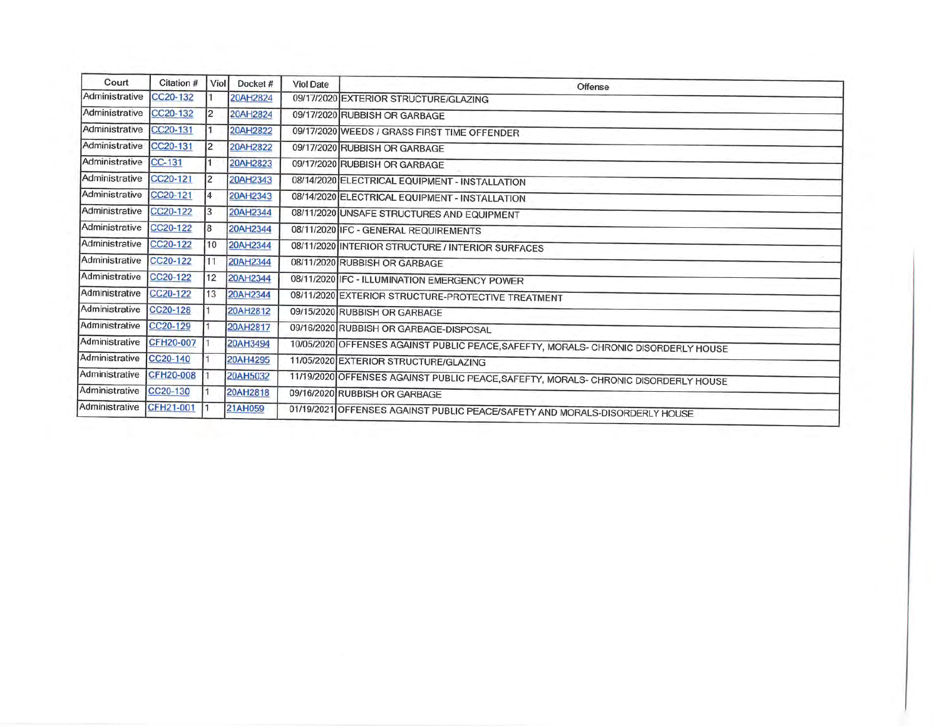| Court          | Citation # | <b>Viol</b>    | Docket#  | <b>Viol Date</b> | Offense                                                                             |  |
|----------------|------------|----------------|----------|------------------|-------------------------------------------------------------------------------------|--|
| Administrative | CC20-132   |                | 20AH2824 |                  | 09/17/2020 EXTERIOR STRUCTURE/GLAZING                                               |  |
| Administrative | CC20-132   |                | 20AH2824 |                  | 09/17/2020 RUBBISH OR GARBAGE                                                       |  |
| Administrative | CC20-131   |                | 20AH2822 |                  | 09/17/2020 WEEDS / GRASS FIRST TIME OFFENDER                                        |  |
| Administrative | CC20-131   | $\overline{2}$ | 20AH2822 |                  | 09/17/2020 RUBBISH OR GARBAGE                                                       |  |
| Administrative | $CC-131$   |                | 20AH2823 |                  | 09/17/2020 RUBBISH OR GARBAGE                                                       |  |
| Administrative | CC20-121   | 12             | 20AH2343 |                  | 08/14/2020 ELECTRICAL EQUIPMENT - INSTALLATION                                      |  |
| Administrative | CC20-121   | 4              | 20AH2343 |                  | 08/14/2020 ELECTRICAL EQUIPMENT - INSTALLATION                                      |  |
| Administrative | CC20-122   | 3              | 20AH2344 |                  | 08/11/2020 UNSAFE STRUCTURES AND EQUIPMENT                                          |  |
| Administrative | CC20-122   | 81             | 20AH2344 |                  | 08/11/2020 IFC - GENERAL REQUIREMENTS                                               |  |
| Administrative | CC20-122   | 10             | 20AH2344 |                  | 08/11/2020 INTERIOR STRUCTURE / INTERIOR SURFACES                                   |  |
| Administrative | CC20-122   | 11             | 20AH2344 |                  | 08/11/2020 RUBBISH OR GARBAGE                                                       |  |
| Administrative | CC20-122   | 12             | 20AH2344 |                  | 08/11/2020 IFC - ILLUMINATION EMERGENCY POWER                                       |  |
| Administrative | CC20-122   | 13             | 20AH2344 |                  | 08/11/2020 EXTERIOR STRUCTURE-PROTECTIVE TREATMENT                                  |  |
| Administrative | CC20-128   |                | 20AH2812 |                  | 09/15/2020 RUBBISH OR GARBAGE                                                       |  |
| Administrative | CC20-129   |                | 20AH2817 |                  | 09/16/2020 RUBBISH OR GARBAGE-DISPOSAL                                              |  |
| Administrative | CFH20-007  |                | 20AH3494 |                  | 10/05/2020 OFFENSES AGAINST PUBLIC PEACE, SAFEFTY, MORALS- CHRONIC DISORDERLY HOUSE |  |
| Administrative | CC20-140   |                | 20AH4295 |                  | 11/05/2020 EXTERIOR STRUCTURE/GLAZING                                               |  |
| Administrative | CFH20-008  |                | 20AH5032 |                  | 11/19/2020 OFFENSES AGAINST PUBLIC PEACE, SAFEFTY, MORALS- CHRONIC DISORDERLY HOUSE |  |
| Administrative | CC20-130   |                | 20AH2818 |                  | 09/16/2020 RUBBISH OR GARBAGE                                                       |  |
| Administrative | CFH21-001  |                | 21AH059  |                  | 01/19/2021 OFFENSES AGAINST PUBLIC PEACE/SAFETY AND MORALS-DISORDERLY HOUSE         |  |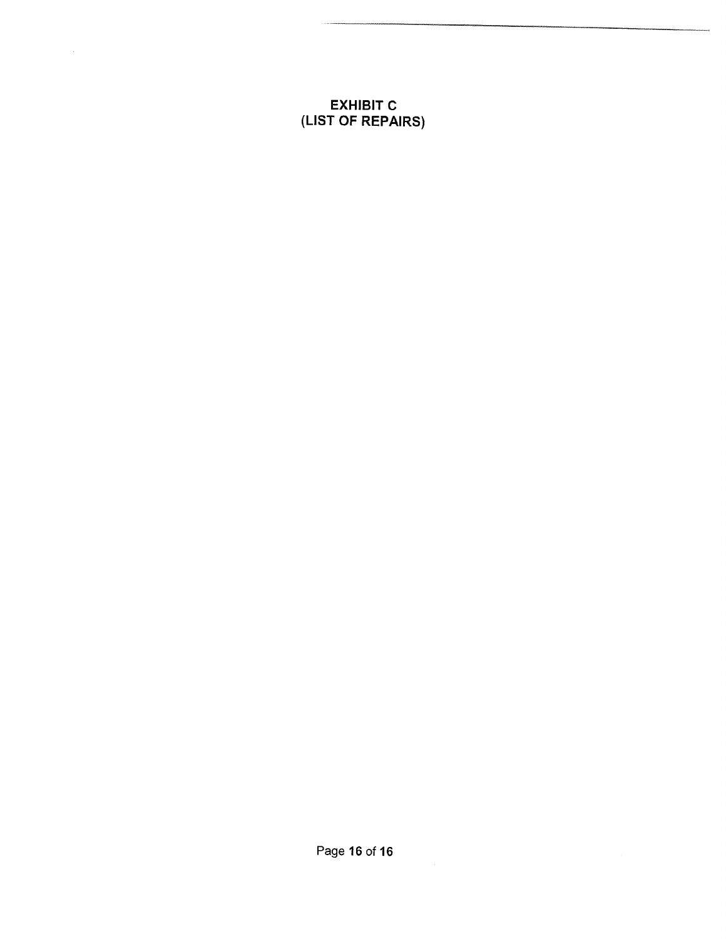# **EXHIBIT C<br>(LIST OF REPAIRS)**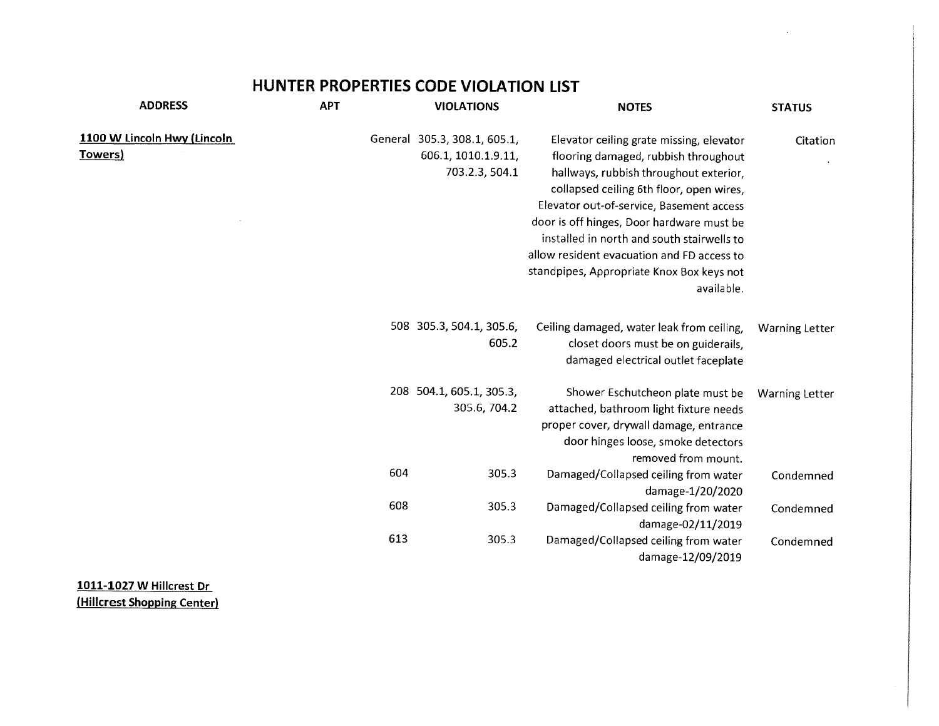# HUNTER PROPERTIES CODE VIOLATION LIST

 $\sim$ 

| <b>ADDRESS</b>                         | <b>APT</b> |     | <b>VIOLATIONS</b>                                                     | <b>NOTES</b>                                                                                                                                                                                                                                                                                                                                                                                                           | <b>STATUS</b>         |
|----------------------------------------|------------|-----|-----------------------------------------------------------------------|------------------------------------------------------------------------------------------------------------------------------------------------------------------------------------------------------------------------------------------------------------------------------------------------------------------------------------------------------------------------------------------------------------------------|-----------------------|
| 1100 W Lincoln Hwy (Lincoln<br>Towers) |            |     | General 305.3, 308.1, 605.1,<br>606.1, 1010.1.9.11,<br>703.2.3, 504.1 | Elevator ceiling grate missing, elevator<br>flooring damaged, rubbish throughout<br>hallways, rubbish throughout exterior,<br>collapsed ceiling 6th floor, open wires,<br>Elevator out-of-service, Basement access<br>door is off hinges, Door hardware must be<br>installed in north and south stairwells to<br>allow resident evacuation and FD access to<br>standpipes, Appropriate Knox Box keys not<br>available. | Citation              |
|                                        |            |     | 508 305.3, 504.1, 305.6,<br>605.2                                     | Ceiling damaged, water leak from ceiling,<br>closet doors must be on guiderails,<br>damaged electrical outlet faceplate                                                                                                                                                                                                                                                                                                | <b>Warning Letter</b> |
|                                        |            |     | 208 504.1, 605.1, 305.3,<br>305.6, 704.2                              | Shower Eschutcheon plate must be<br>attached, bathroom light fixture needs<br>proper cover, drywall damage, entrance<br>door hinges loose, smoke detectors<br>removed from mount.                                                                                                                                                                                                                                      | <b>Warning Letter</b> |
|                                        |            | 604 | 305.3                                                                 | Damaged/Collapsed ceiling from water<br>damage-1/20/2020                                                                                                                                                                                                                                                                                                                                                               | Condemned             |
|                                        |            | 608 | 305.3                                                                 | Damaged/Collapsed ceiling from water<br>damage-02/11/2019                                                                                                                                                                                                                                                                                                                                                              | Condemned             |
|                                        |            | 613 | 305.3                                                                 | Damaged/Collapsed ceiling from water<br>damage-12/09/2019                                                                                                                                                                                                                                                                                                                                                              | Condemned             |

1011-1027 W Hillcrest Dr (Hillcrest Shopping Center)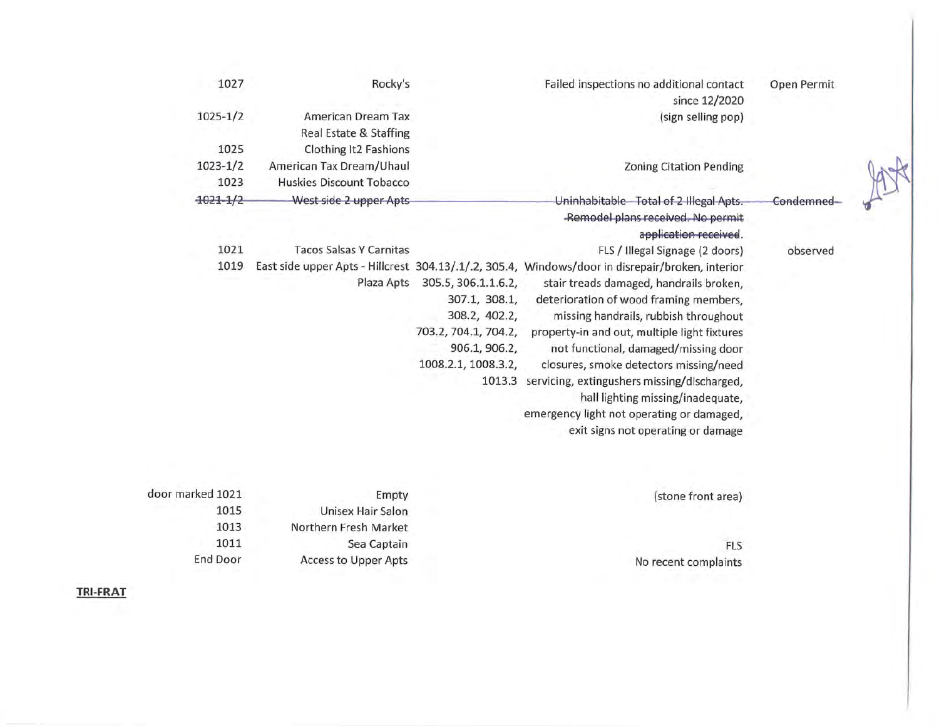| 1027          | Rocky's                                      |                                                                                                                                 | Failed inspections no additional contact<br>since 12/2020                                                                                                                                                                                                                                                                                                                                                                                                                                                                               | Open Permit |  |
|---------------|----------------------------------------------|---------------------------------------------------------------------------------------------------------------------------------|-----------------------------------------------------------------------------------------------------------------------------------------------------------------------------------------------------------------------------------------------------------------------------------------------------------------------------------------------------------------------------------------------------------------------------------------------------------------------------------------------------------------------------------------|-------------|--|
| $1025 - 1/2$  | American Dream Tax<br>Real Estate & Staffing |                                                                                                                                 | (sign selling pop)                                                                                                                                                                                                                                                                                                                                                                                                                                                                                                                      |             |  |
| 1025          | Clothing It2 Fashions                        |                                                                                                                                 |                                                                                                                                                                                                                                                                                                                                                                                                                                                                                                                                         |             |  |
| $1023 - 1/2$  | American Tax Dream/Uhaul                     |                                                                                                                                 | <b>Zoning Citation Pending</b>                                                                                                                                                                                                                                                                                                                                                                                                                                                                                                          |             |  |
| 1023          | Huskies Discount Tobacco                     |                                                                                                                                 |                                                                                                                                                                                                                                                                                                                                                                                                                                                                                                                                         |             |  |
| $-1021 - 1/2$ | West side 2 upper Apts                       |                                                                                                                                 | Uninhabitable - Total of 2 Illegal Apts.<br>-Remodel plans received. No permit<br>application received.                                                                                                                                                                                                                                                                                                                                                                                                                                 | Condemned-  |  |
| 1021          | <b>Tacos Salsas Y Carnitas</b>               |                                                                                                                                 | FLS / Illegal Signage (2 doors)                                                                                                                                                                                                                                                                                                                                                                                                                                                                                                         | observed    |  |
| 1019          | Plaza Apts                                   | 305.5, 306.1.1.6.2,<br>307.1, 308.1,<br>308.2, 402.2,<br>703.2, 704.1, 704.2,<br>906.1, 906.2,<br>1008.2.1, 1008.3.2,<br>1013.3 | East side upper Apts - Hillcrest 304.13/.1/.2, 305.4, Windows/door in disrepair/broken, interior<br>stair treads damaged, handrails broken,<br>deterioration of wood framing members,<br>missing handrails, rubbish throughout<br>property-in and out, multiple light fixtures<br>not functional, damaged/missing door<br>closures, smoke detectors missing/need<br>servicing, extingushers missing/discharged,<br>hall lighting missing/inadequate,<br>emergency light not operating or damaged,<br>exit signs not operating or damage |             |  |

| (stone front area)   | Empty                       | door marked 1021 |
|----------------------|-----------------------------|------------------|
|                      | Unisex Hair Salon           | 1015             |
|                      | Northern Fresh Market       | 1013             |
| <b>FLS</b>           | Sea Captain                 | 1011             |
| No recent complaints | <b>Access to Upper Apts</b> | End Door         |
|                      |                             |                  |

**TRI-FRAT**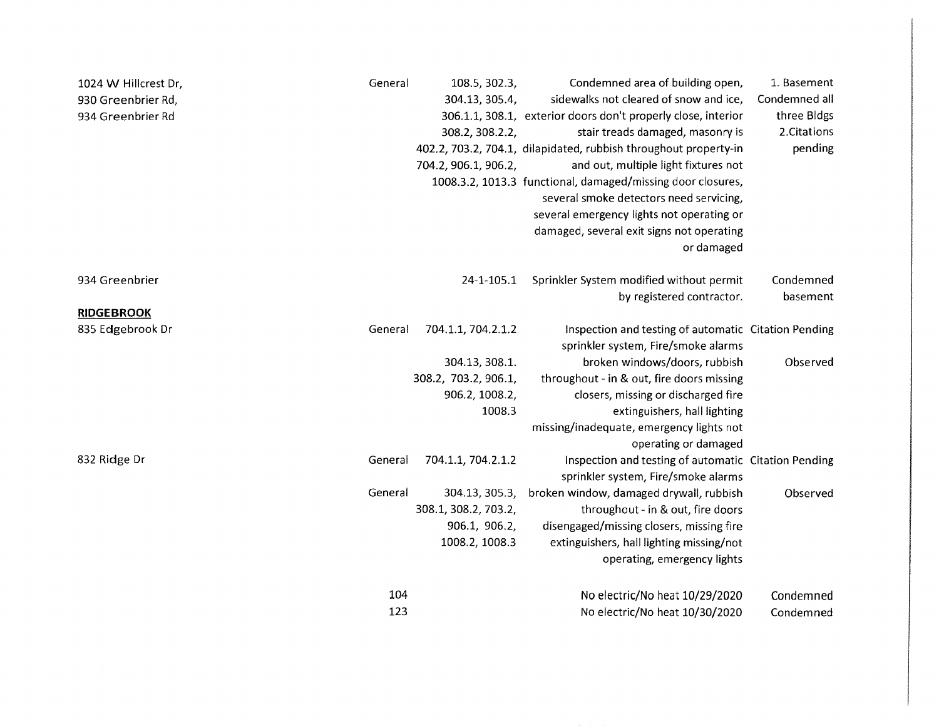| 1024 W Hillcrest Dr, | General | 108.5, 302.3,        | Condemned area of building open,                                 | 1. Basement   |
|----------------------|---------|----------------------|------------------------------------------------------------------|---------------|
| 930 Greenbrier Rd,   |         | 304.13, 305.4,       | sidewalks not cleared of snow and ice,                           | Condemned all |
| 934 Greenbrier Rd    |         |                      | 306.1.1, 308.1, exterior doors don't properly close, interior    | three Bidgs   |
|                      |         | 308.2, 308.2.2,      | stair treads damaged, masonry is                                 | 2. Citations  |
|                      |         |                      | 402.2, 703.2, 704.1, dilapidated, rubbish throughout property-in | pending       |
|                      |         | 704.2, 906.1, 906.2, | and out, multiple light fixtures not                             |               |
|                      |         |                      | 1008.3.2, 1013.3 functional, damaged/missing door closures,      |               |
|                      |         |                      | several smoke detectors need servicing,                          |               |
|                      |         |                      | several emergency lights not operating or                        |               |
|                      |         |                      | damaged, several exit signs not operating                        |               |
|                      |         |                      | or damaged                                                       |               |
| 934 Greenbrier       |         | 24-1-105.1           | Sprinkler System modified without permit                         | Condemned     |
|                      |         |                      | by registered contractor.                                        | basement      |
| <b>RIDGEBROOK</b>    |         |                      |                                                                  |               |
| 835 Edgebrook Dr     | General | 704.1.1, 704.2.1.2   | Inspection and testing of automatic Citation Pending             |               |
|                      |         |                      | sprinkler system, Fire/smoke alarms                              |               |
|                      |         | 304.13, 308.1.       | broken windows/doors, rubbish                                    | Observed      |
|                      |         | 308.2, 703.2, 906.1, | throughout - in & out, fire doors missing                        |               |
|                      |         | 906.2, 1008.2,       | closers, missing or discharged fire                              |               |
|                      |         | 1008.3               | extinguishers, hall lighting                                     |               |
|                      |         |                      | missing/inadequate, emergency lights not                         |               |
|                      |         |                      | operating or damaged                                             |               |
| 832 Ridge Dr         | General | 704.1.1, 704.2.1.2   | Inspection and testing of automatic Citation Pending             |               |
|                      |         |                      | sprinkler system, Fire/smoke alarms                              |               |
|                      | General | 304.13, 305.3,       | broken window, damaged drywall, rubbish                          | Observed      |
|                      |         | 308.1, 308.2, 703.2, | throughout - in & out, fire doors                                |               |
|                      |         | 906.1, 906.2,        | disengaged/missing closers, missing fire                         |               |
|                      |         | 1008.2, 1008.3       | extinguishers, hall lighting missing/not                         |               |
|                      |         |                      | operating, emergency lights                                      |               |
|                      | 104     |                      | No electric/No heat 10/29/2020                                   | Condemned     |
|                      | 123     |                      | No electric/No heat 10/30/2020                                   | Condemned     |